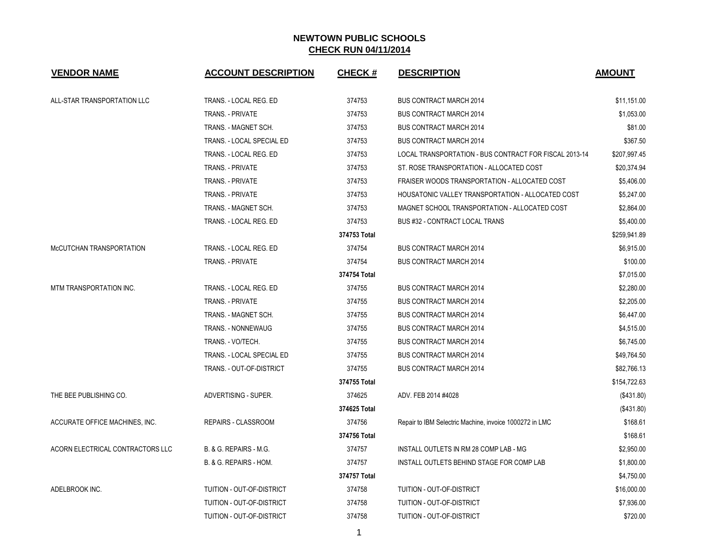| <b>VENDOR NAME</b>               | <b>ACCOUNT DESCRIPTION</b>       | <b>CHECK#</b> | <b>DESCRIPTION</b>                                      | <b>AMOUNT</b> |
|----------------------------------|----------------------------------|---------------|---------------------------------------------------------|---------------|
| ALL-STAR TRANSPORTATION LLC      | TRANS. - LOCAL REG. ED           | 374753        | <b>BUS CONTRACT MARCH 2014</b>                          | \$11,151.00   |
|                                  | <b>TRANS. - PRIVATE</b>          | 374753        | <b>BUS CONTRACT MARCH 2014</b>                          | \$1.053.00    |
|                                  | TRANS. - MAGNET SCH.             | 374753        | <b>BUS CONTRACT MARCH 2014</b>                          | \$81.00       |
|                                  | TRANS. - LOCAL SPECIAL ED        | 374753        | <b>BUS CONTRACT MARCH 2014</b>                          | \$367.50      |
|                                  | TRANS. - LOCAL REG. ED           | 374753        | LOCAL TRANSPORTATION - BUS CONTRACT FOR FISCAL 2013-14  | \$207,997.45  |
|                                  | TRANS. - PRIVATE                 | 374753        | ST. ROSE TRANSPORTATION - ALLOCATED COST                | \$20,374.94   |
|                                  | TRANS. - PRIVATE                 | 374753        | FRAISER WOODS TRANSPORTATION - ALLOCATED COST           | \$5,406.00    |
|                                  | TRANS. - PRIVATE                 | 374753        | HOUSATONIC VALLEY TRANSPORTATION - ALLOCATED COST       | \$5,247.00    |
|                                  | TRANS. - MAGNET SCH.             | 374753        | MAGNET SCHOOL TRANSPORTATION - ALLOCATED COST           | \$2,864.00    |
|                                  | TRANS. - LOCAL REG. ED           | 374753        | BUS #32 - CONTRACT LOCAL TRANS                          | \$5,400.00    |
|                                  |                                  | 374753 Total  |                                                         | \$259,941.89  |
| McCUTCHAN TRANSPORTATION         | TRANS. - LOCAL REG. ED           | 374754        | <b>BUS CONTRACT MARCH 2014</b>                          | \$6,915.00    |
|                                  | TRANS. - PRIVATE                 | 374754        | <b>BUS CONTRACT MARCH 2014</b>                          | \$100.00      |
|                                  |                                  | 374754 Total  |                                                         | \$7,015.00    |
| MTM TRANSPORTATION INC.          | TRANS. - LOCAL REG. ED           | 374755        | <b>BUS CONTRACT MARCH 2014</b>                          | \$2,280.00    |
|                                  | TRANS. - PRIVATE                 | 374755        | <b>BUS CONTRACT MARCH 2014</b>                          | \$2,205.00    |
|                                  | TRANS. - MAGNET SCH.             | 374755        | <b>BUS CONTRACT MARCH 2014</b>                          | \$6,447.00    |
|                                  | TRANS. - NONNEWAUG               | 374755        | <b>BUS CONTRACT MARCH 2014</b>                          | \$4,515.00    |
|                                  | TRANS. - VO/TECH.                | 374755        | <b>BUS CONTRACT MARCH 2014</b>                          | \$6,745.00    |
|                                  | TRANS. - LOCAL SPECIAL ED        | 374755        | <b>BUS CONTRACT MARCH 2014</b>                          | \$49,764.50   |
|                                  | TRANS. - OUT-OF-DISTRICT         | 374755        | <b>BUS CONTRACT MARCH 2014</b>                          | \$82,766.13   |
|                                  |                                  | 374755 Total  |                                                         | \$154,722.63  |
| THE BEE PUBLISHING CO.           | ADVERTISING - SUPER.             | 374625        | ADV. FEB 2014 #4028                                     | (\$431.80)    |
|                                  |                                  | 374625 Total  |                                                         | (\$431.80)    |
| ACCURATE OFFICE MACHINES, INC.   | REPAIRS - CLASSROOM              | 374756        | Repair to IBM Selectric Machine, invoice 1000272 in LMC | \$168.61      |
|                                  |                                  | 374756 Total  |                                                         | \$168.61      |
| ACORN ELECTRICAL CONTRACTORS LLC | B. & G. REPAIRS - M.G.           | 374757        | INSTALL OUTLETS IN RM 28 COMP LAB - MG                  | \$2,950.00    |
|                                  | B. & G. REPAIRS - HOM.           | 374757        | INSTALL OUTLETS BEHIND STAGE FOR COMP LAB               | \$1,800.00    |
|                                  |                                  | 374757 Total  |                                                         | \$4,750.00    |
| ADELBROOK INC.                   | TUITION - OUT-OF-DISTRICT        | 374758        | TUITION - OUT-OF-DISTRICT                               | \$16,000.00   |
|                                  | TUITION - OUT-OF-DISTRICT        | 374758        | <b>TUITION - OUT-OF-DISTRICT</b>                        | \$7,936.00    |
|                                  | <b>TUITION - OUT-OF-DISTRICT</b> | 374758        | <b>TUITION - OUT-OF-DISTRICT</b>                        | \$720.00      |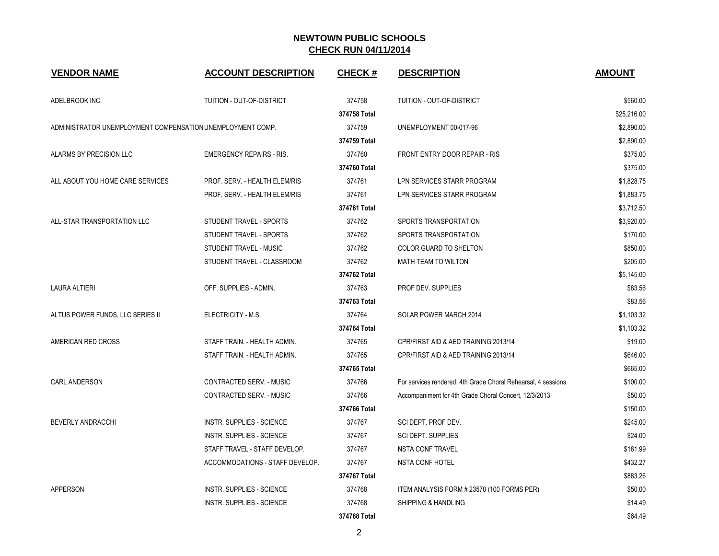| <b>VENDOR NAME</b>                                         | <b>ACCOUNT DESCRIPTION</b>       | <b>CHECK#</b> | <b>DESCRIPTION</b>                                            | <b>AMOUNT</b> |
|------------------------------------------------------------|----------------------------------|---------------|---------------------------------------------------------------|---------------|
| ADELBROOK INC.                                             | TUITION - OUT-OF-DISTRICT        | 374758        | TUITION - OUT-OF-DISTRICT                                     | \$560.00      |
|                                                            |                                  | 374758 Total  |                                                               | \$25,216.00   |
| ADMINISTRATOR UNEMPLOYMENT COMPENSATION UNEMPLOYMENT COMP. |                                  | 374759        | UNEMPLOYMENT 00-017-96                                        | \$2,890.00    |
|                                                            |                                  | 374759 Total  |                                                               | \$2,890.00    |
| ALARMS BY PRECISION LLC                                    | <b>EMERGENCY REPAIRS - RIS.</b>  | 374760        | <b>FRONT ENTRY DOOR REPAIR - RIS</b>                          | \$375.00      |
|                                                            |                                  | 374760 Total  |                                                               | \$375.00      |
| ALL ABOUT YOU HOME CARE SERVICES                           | PROF. SERV. - HEALTH ELEM/RIS    | 374761        | LPN SERVICES STARR PROGRAM                                    | \$1,828.75    |
|                                                            | PROF. SERV. - HEALTH ELEM/RIS    | 374761        | LPN SERVICES STARR PROGRAM                                    | \$1,883.75    |
|                                                            |                                  | 374761 Total  |                                                               | \$3,712.50    |
| ALL-STAR TRANSPORTATION LLC                                | STUDENT TRAVEL - SPORTS          | 374762        | SPORTS TRANSPORTATION                                         | \$3,920.00    |
|                                                            | STUDENT TRAVEL - SPORTS          | 374762        | SPORTS TRANSPORTATION                                         | \$170.00      |
|                                                            | STUDENT TRAVEL - MUSIC           | 374762        | COLOR GUARD TO SHELTON                                        | \$850.00      |
|                                                            | STUDENT TRAVEL - CLASSROOM       | 374762        | <b>MATH TEAM TO WILTON</b>                                    | \$205.00      |
|                                                            |                                  | 374762 Total  |                                                               | \$5,145.00    |
| <b>LAURA ALTIERI</b>                                       | OFF. SUPPLIES - ADMIN.           | 374763        | PROF DEV. SUPPLIES                                            | \$83.56       |
|                                                            |                                  | 374763 Total  |                                                               | \$83.56       |
| ALTUS POWER FUNDS, LLC SERIES II                           | ELECTRICITY - M.S.               | 374764        | SOLAR POWER MARCH 2014                                        | \$1,103.32    |
|                                                            |                                  | 374764 Total  |                                                               | \$1,103.32    |
| AMERICAN RED CROSS                                         | STAFF TRAIN. - HEALTH ADMIN.     | 374765        | CPR/FIRST AID & AED TRAINING 2013/14                          | \$19.00       |
|                                                            | STAFF TRAIN. - HEALTH ADMIN.     | 374765        | CPR/FIRST AID & AED TRAINING 2013/14                          | \$646.00      |
|                                                            |                                  | 374765 Total  |                                                               | \$665.00      |
| CARL ANDERSON                                              | CONTRACTED SERV. - MUSIC         | 374766        | For services rendered: 4th Grade Choral Rehearsal, 4 sessions | \$100.00      |
|                                                            | CONTRACTED SERV. - MUSIC         | 374766        | Accompaniment for 4th Grade Choral Concert, 12/3/2013         | \$50.00       |
|                                                            |                                  | 374766 Total  |                                                               | \$150.00      |
| BEVERLY ANDRACCHI                                          | <b>INSTR. SUPPLIES - SCIENCE</b> | 374767        | SCI DEPT. PROF DEV.                                           | \$245.00      |
|                                                            | <b>INSTR. SUPPLIES - SCIENCE</b> | 374767        | <b>SCI DEPT. SUPPLIES</b>                                     | \$24.00       |
|                                                            | STAFF TRAVEL - STAFF DEVELOP.    | 374767        | <b>NSTA CONF TRAVEL</b>                                       | \$181.99      |
|                                                            | ACCOMMODATIONS - STAFF DEVELOP.  | 374767        | <b>NSTA CONF HOTEL</b>                                        | \$432.27      |
|                                                            |                                  | 374767 Total  |                                                               | \$883.26      |
| APPERSON                                                   | <b>INSTR. SUPPLIES - SCIENCE</b> | 374768        | ITEM ANALYSIS FORM # 23570 (100 FORMS PER)                    | \$50.00       |
|                                                            | <b>INSTR. SUPPLIES - SCIENCE</b> | 374768        | SHIPPING & HANDLING                                           | \$14.49       |
|                                                            |                                  | 374768 Total  |                                                               | \$64.49       |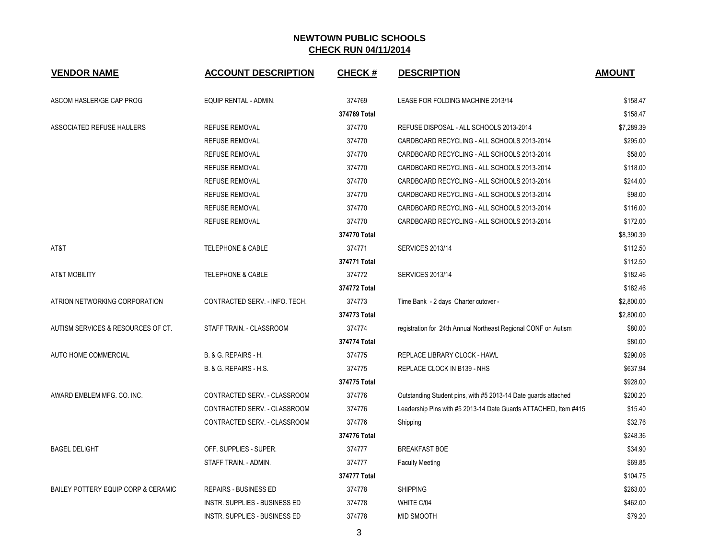| <b>VENDOR NAME</b>                  | <b>ACCOUNT DESCRIPTION</b>           | <b>CHECK#</b> | <b>DESCRIPTION</b>                                              | <b>AMOUNT</b> |
|-------------------------------------|--------------------------------------|---------------|-----------------------------------------------------------------|---------------|
| ASCOM HASLER/GE CAP PROG            | EQUIP RENTAL - ADMIN.                | 374769        | LEASE FOR FOLDING MACHINE 2013/14                               | \$158.47      |
|                                     |                                      | 374769 Total  |                                                                 | \$158.47      |
| ASSOCIATED REFUSE HAULERS           | <b>REFUSE REMOVAL</b>                | 374770        | REFUSE DISPOSAL - ALL SCHOOLS 2013-2014                         | \$7,289.39    |
|                                     | <b>REFUSE REMOVAL</b>                | 374770        | CARDBOARD RECYCLING - ALL SCHOOLS 2013-2014                     | \$295.00      |
|                                     | <b>REFUSE REMOVAL</b>                | 374770        | CARDBOARD RECYCLING - ALL SCHOOLS 2013-2014                     | \$58.00       |
|                                     | <b>REFUSE REMOVAL</b>                | 374770        | CARDBOARD RECYCLING - ALL SCHOOLS 2013-2014                     | \$118.00      |
|                                     | <b>REFUSE REMOVAL</b>                | 374770        | CARDBOARD RECYCLING - ALL SCHOOLS 2013-2014                     | \$244.00      |
|                                     | <b>REFUSE REMOVAL</b>                | 374770        | CARDBOARD RECYCLING - ALL SCHOOLS 2013-2014                     | \$98.00       |
|                                     | <b>REFUSE REMOVAL</b>                | 374770        | CARDBOARD RECYCLING - ALL SCHOOLS 2013-2014                     | \$116.00      |
|                                     | <b>REFUSE REMOVAL</b>                | 374770        | CARDBOARD RECYCLING - ALL SCHOOLS 2013-2014                     | \$172.00      |
|                                     |                                      | 374770 Total  |                                                                 | \$8,390.39    |
| AT&T                                | <b>TELEPHONE &amp; CABLE</b>         | 374771        | <b>SERVICES 2013/14</b>                                         | \$112.50      |
|                                     |                                      | 374771 Total  |                                                                 | \$112.50      |
| <b>AT&amp;T MOBILITY</b>            | <b>TELEPHONE &amp; CABLE</b>         | 374772        | <b>SERVICES 2013/14</b>                                         | \$182.46      |
|                                     |                                      | 374772 Total  |                                                                 | \$182.46      |
| ATRION NETWORKING CORPORATION       | CONTRACTED SERV. - INFO. TECH.       | 374773        | Time Bank - 2 days Charter cutover -                            | \$2,800.00    |
|                                     |                                      | 374773 Total  |                                                                 | \$2,800.00    |
| AUTISM SERVICES & RESOURCES OF CT.  | STAFF TRAIN. - CLASSROOM             | 374774        | registration for 24th Annual Northeast Regional CONF on Autism  | \$80.00       |
|                                     |                                      | 374774 Total  |                                                                 | \$80.00       |
| AUTO HOME COMMERCIAL                | B. & G. REPAIRS - H.                 | 374775        | REPLACE LIBRARY CLOCK - HAWL                                    | \$290.06      |
|                                     | B. & G. REPAIRS - H.S.               | 374775        | REPLACE CLOCK IN B139 - NHS                                     | \$637.94      |
|                                     |                                      | 374775 Total  |                                                                 | \$928.00      |
| AWARD EMBLEM MFG. CO. INC.          | CONTRACTED SERV. - CLASSROOM         | 374776        | Outstanding Student pins, with #5 2013-14 Date guards attached  | \$200.20      |
|                                     | CONTRACTED SERV. - CLASSROOM         | 374776        | Leadership Pins with #5 2013-14 Date Guards ATTACHED, Item #415 | \$15.40       |
|                                     | CONTRACTED SERV. - CLASSROOM         | 374776        | Shipping                                                        | \$32.76       |
|                                     |                                      | 374776 Total  |                                                                 | \$248.36      |
| <b>BAGEL DELIGHT</b>                | OFF. SUPPLIES - SUPER.               | 374777        | <b>BREAKFAST BOE</b>                                            | \$34.90       |
|                                     | STAFF TRAIN. - ADMIN.                | 374777        | <b>Faculty Meeting</b>                                          | \$69.85       |
|                                     |                                      | 374777 Total  |                                                                 | \$104.75      |
| BAILEY POTTERY EQUIP CORP & CERAMIC | <b>REPAIRS - BUSINESS ED</b>         | 374778        | <b>SHIPPING</b>                                                 | \$263.00      |
|                                     | <b>INSTR. SUPPLIES - BUSINESS ED</b> | 374778        | WHITE C/04                                                      | \$462.00      |
|                                     | <b>INSTR. SUPPLIES - BUSINESS ED</b> | 374778        | <b>MID SMOOTH</b>                                               | \$79.20       |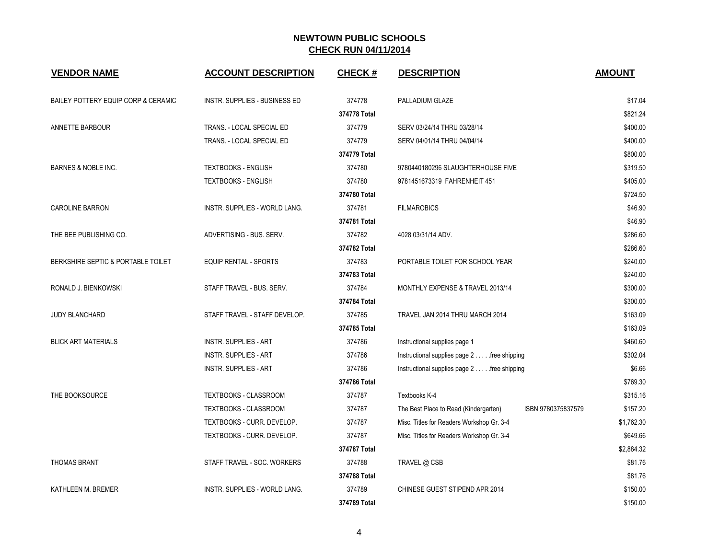| <b>VENDOR NAME</b>                  | <b>ACCOUNT DESCRIPTION</b>           | <b>CHECK#</b> | <b>DESCRIPTION</b>                                          | <b>AMOUNT</b> |
|-------------------------------------|--------------------------------------|---------------|-------------------------------------------------------------|---------------|
| BAILEY POTTERY EQUIP CORP & CERAMIC | <b>INSTR. SUPPLIES - BUSINESS ED</b> | 374778        | PALLADIUM GLAZE                                             | \$17.04       |
|                                     |                                      | 374778 Total  |                                                             | \$821.24      |
| ANNETTE BARBOUR                     | TRANS. - LOCAL SPECIAL ED            | 374779        | SERV 03/24/14 THRU 03/28/14                                 | \$400.00      |
|                                     | TRANS. - LOCAL SPECIAL ED            | 374779        | SERV 04/01/14 THRU 04/04/14                                 | \$400.00      |
|                                     |                                      | 374779 Total  |                                                             | \$800.00      |
| <b>BARNES &amp; NOBLE INC.</b>      | <b>TEXTBOOKS - ENGLISH</b>           | 374780        | 9780440180296 SLAUGHTERHOUSE FIVE                           | \$319.50      |
|                                     | <b>TEXTBOOKS - ENGLISH</b>           | 374780        | 9781451673319 FAHRENHEIT 451                                | \$405.00      |
|                                     |                                      | 374780 Total  |                                                             | \$724.50      |
| <b>CAROLINE BARRON</b>              | INSTR. SUPPLIES - WORLD LANG.        | 374781        | <b>FILMAROBICS</b>                                          | \$46.90       |
|                                     |                                      | 374781 Total  |                                                             | \$46.90       |
| THE BEE PUBLISHING CO.              | ADVERTISING - BUS, SERV.             | 374782        | 4028 03/31/14 ADV.                                          | \$286.60      |
|                                     |                                      | 374782 Total  |                                                             | \$286.60      |
| BERKSHIRE SEPTIC & PORTABLE TOILET  | <b>EQUIP RENTAL - SPORTS</b>         | 374783        | PORTABLE TOILET FOR SCHOOL YEAR                             | \$240.00      |
|                                     |                                      | 374783 Total  |                                                             | \$240.00      |
| RONALD J. BIENKOWSKI                | STAFF TRAVEL - BUS. SERV.            | 374784        | MONTHLY EXPENSE & TRAVEL 2013/14                            | \$300.00      |
|                                     |                                      | 374784 Total  |                                                             | \$300.00      |
| <b>JUDY BLANCHARD</b>               | STAFF TRAVEL - STAFF DEVELOP.        | 374785        | TRAVEL JAN 2014 THRU MARCH 2014                             | \$163.09      |
|                                     |                                      | 374785 Total  |                                                             | \$163.09      |
| <b>BLICK ART MATERIALS</b>          | <b>INSTR. SUPPLIES - ART</b>         | 374786        | Instructional supplies page 1                               | \$460.60      |
|                                     | <b>INSTR. SUPPLIES - ART</b>         | 374786        | Instructional supplies page 2 free shipping                 | \$302.04      |
|                                     | <b>INSTR. SUPPLIES - ART</b>         | 374786        | Instructional supplies page 2 free shipping                 | \$6.66        |
|                                     |                                      | 374786 Total  |                                                             | \$769.30      |
| THE BOOKSOURCE                      | TEXTBOOKS - CLASSROOM                | 374787        | Textbooks K-4                                               | \$315.16      |
|                                     | TEXTBOOKS - CLASSROOM                | 374787        | ISBN 9780375837579<br>The Best Place to Read (Kindergarten) | \$157.20      |
|                                     | TEXTBOOKS - CURR. DEVELOP.           | 374787        | Misc. Titles for Readers Workshop Gr. 3-4                   | \$1,762.30    |
|                                     | TEXTBOOKS - CURR. DEVELOP.           | 374787        | Misc. Titles for Readers Workshop Gr. 3-4                   | \$649.66      |
|                                     |                                      | 374787 Total  |                                                             | \$2,884.32    |
| <b>THOMAS BRANT</b>                 | STAFF TRAVEL - SOC. WORKERS          | 374788        | TRAVEL @ CSB                                                | \$81.76       |
|                                     |                                      | 374788 Total  |                                                             | \$81.76       |
| KATHLEEN M. BREMER                  | INSTR. SUPPLIES - WORLD LANG.        | 374789        | CHINESE GUEST STIPEND APR 2014                              | \$150.00      |
|                                     |                                      | 374789 Total  |                                                             | \$150.00      |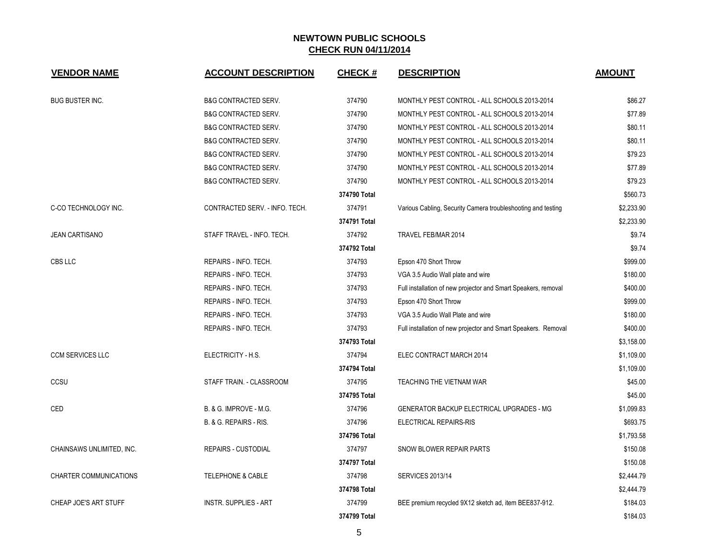| <b>VENDOR NAME</b>            | <b>ACCOUNT DESCRIPTION</b>      | <b>CHECK#</b> | <b>DESCRIPTION</b>                                             | <b>AMOUNT</b> |
|-------------------------------|---------------------------------|---------------|----------------------------------------------------------------|---------------|
| <b>BUG BUSTER INC.</b>        | <b>B&amp;G CONTRACTED SERV.</b> | 374790        | MONTHLY PEST CONTROL - ALL SCHOOLS 2013-2014                   | \$86.27       |
|                               | <b>B&amp;G CONTRACTED SERV.</b> | 374790        | MONTHLY PEST CONTROL - ALL SCHOOLS 2013-2014                   | \$77.89       |
|                               | <b>B&amp;G CONTRACTED SERV.</b> | 374790        | MONTHLY PEST CONTROL - ALL SCHOOLS 2013-2014                   | \$80.11       |
|                               | <b>B&amp;G CONTRACTED SERV.</b> | 374790        | MONTHLY PEST CONTROL - ALL SCHOOLS 2013-2014                   | \$80.11       |
|                               | <b>B&amp;G CONTRACTED SERV.</b> | 374790        | MONTHLY PEST CONTROL - ALL SCHOOLS 2013-2014                   | \$79.23       |
|                               | <b>B&amp;G CONTRACTED SERV.</b> | 374790        | MONTHLY PEST CONTROL - ALL SCHOOLS 2013-2014                   | \$77.89       |
|                               | <b>B&amp;G CONTRACTED SERV.</b> | 374790        | MONTHLY PEST CONTROL - ALL SCHOOLS 2013-2014                   | \$79.23       |
|                               |                                 | 374790 Total  |                                                                | \$560.73      |
| C-CO TECHNOLOGY INC.          | CONTRACTED SERV. - INFO. TECH.  | 374791        | Various Cabling, Security Camera troubleshooting and testing   | \$2,233.90    |
|                               |                                 | 374791 Total  |                                                                | \$2.233.90    |
| <b>JEAN CARTISANO</b>         | STAFF TRAVEL - INFO. TECH.      | 374792        | TRAVEL FEB/MAR 2014                                            | \$9.74        |
|                               |                                 | 374792 Total  |                                                                | \$9.74        |
| <b>CBS LLC</b>                | REPAIRS - INFO. TECH.           | 374793        | Epson 470 Short Throw                                          | \$999.00      |
|                               | REPAIRS - INFO. TECH.           | 374793        | VGA 3.5 Audio Wall plate and wire                              | \$180.00      |
|                               | REPAIRS - INFO. TECH.           | 374793        | Full installation of new projector and Smart Speakers, removal | \$400.00      |
|                               | REPAIRS - INFO. TECH.           | 374793        | Epson 470 Short Throw                                          | \$999.00      |
|                               | REPAIRS - INFO. TECH.           | 374793        | VGA 3.5 Audio Wall Plate and wire                              | \$180.00      |
|                               | REPAIRS - INFO. TECH.           | 374793        | Full installation of new projector and Smart Speakers. Removal | \$400.00      |
|                               |                                 | 374793 Total  |                                                                | \$3,158.00    |
| <b>CCM SERVICES LLC</b>       | ELECTRICITY - H.S.              | 374794        | ELEC CONTRACT MARCH 2014                                       | \$1,109.00    |
|                               |                                 | 374794 Total  |                                                                | \$1,109.00    |
| CCSU                          | STAFF TRAIN. - CLASSROOM        | 374795        | TEACHING THE VIETNAM WAR                                       | \$45.00       |
|                               |                                 | 374795 Total  |                                                                | \$45.00       |
| CED                           | B. & G. IMPROVE - M.G.          | 374796        | GENERATOR BACKUP ELECTRICAL UPGRADES - MG                      | \$1,099.83    |
|                               | B. & G. REPAIRS - RIS.          | 374796        | <b>ELECTRICAL REPAIRS-RIS</b>                                  | \$693.75      |
|                               |                                 | 374796 Total  |                                                                | \$1,793.58    |
| CHAINSAWS UNLIMITED, INC.     | <b>REPAIRS - CUSTODIAL</b>      | 374797        | SNOW BLOWER REPAIR PARTS                                       | \$150.08      |
|                               |                                 | 374797 Total  |                                                                | \$150.08      |
| <b>CHARTER COMMUNICATIONS</b> | TELEPHONE & CABLE               | 374798        | <b>SERVICES 2013/14</b>                                        | \$2,444.79    |
|                               |                                 | 374798 Total  |                                                                | \$2,444.79    |
| CHEAP JOE'S ART STUFF         | <b>INSTR. SUPPLIES - ART</b>    | 374799        | BEE premium recycled 9X12 sketch ad, item BEE837-912.          | \$184.03      |
|                               |                                 | 374799 Total  |                                                                | \$184.03      |

5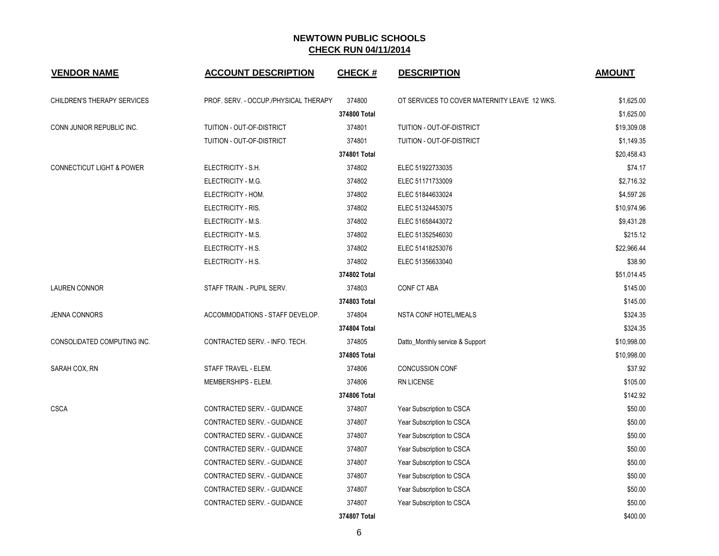| <b>VENDOR NAME</b>                   | <b>ACCOUNT DESCRIPTION</b>            | <b>CHECK#</b> | <b>DESCRIPTION</b>                           | <b>AMOUNT</b> |
|--------------------------------------|---------------------------------------|---------------|----------------------------------------------|---------------|
| CHILDREN'S THERAPY SERVICES          | PROF. SERV. - OCCUP./PHYSICAL THERAPY | 374800        | OT SERVICES TO COVER MATERNITY LEAVE 12 WKS. | \$1,625.00    |
|                                      |                                       | 374800 Total  |                                              | \$1,625.00    |
| CONN JUNIOR REPUBLIC INC.            | TUITION - OUT-OF-DISTRICT             | 374801        | TUITION - OUT-OF-DISTRICT                    | \$19,309.08   |
|                                      | TUITION - OUT-OF-DISTRICT             | 374801        | TUITION - OUT-OF-DISTRICT                    | \$1,149.35    |
|                                      |                                       | 374801 Total  |                                              | \$20,458.43   |
| <b>CONNECTICUT LIGHT &amp; POWER</b> | ELECTRICITY - S.H.                    | 374802        | ELEC 51922733035                             | \$74.17       |
|                                      | ELECTRICITY - M.G.                    | 374802        | ELEC 51171733009                             | \$2,716.32    |
|                                      | ELECTRICITY - HOM.                    | 374802        | ELEC 51844633024                             | \$4,597.26    |
|                                      | ELECTRICITY - RIS.                    | 374802        | ELEC 51324453075                             | \$10,974.96   |
|                                      | ELECTRICITY - M.S.                    | 374802        | ELEC 51658443072                             | \$9,431.28    |
|                                      | ELECTRICITY - M.S.                    | 374802        | ELEC 51352546030                             | \$215.12      |
|                                      | ELECTRICITY - H.S.                    | 374802        | ELEC 51418253076                             | \$22,966.44   |
|                                      | ELECTRICITY - H.S.                    | 374802        | ELEC 51356633040                             | \$38.90       |
|                                      |                                       | 374802 Total  |                                              | \$51,014.45   |
| <b>LAUREN CONNOR</b>                 | STAFF TRAIN. - PUPIL SERV.            | 374803        | CONF CT ABA                                  | \$145.00      |
|                                      |                                       | 374803 Total  |                                              | \$145.00      |
| <b>JENNA CONNORS</b>                 | ACCOMMODATIONS - STAFF DEVELOP.       | 374804        | NSTA CONF HOTEL/MEALS                        | \$324.35      |
|                                      |                                       | 374804 Total  |                                              | \$324.35      |
| CONSOLIDATED COMPUTING INC.          | CONTRACTED SERV. - INFO. TECH.        | 374805        | Datto_Monthly service & Support              | \$10,998.00   |
|                                      |                                       | 374805 Total  |                                              | \$10,998.00   |
| SARAH COX, RN                        | STAFF TRAVEL - ELEM.                  | 374806        | <b>CONCUSSION CONF</b>                       | \$37.92       |
|                                      | MEMBERSHIPS - ELEM.                   | 374806        | RN LICENSE                                   | \$105.00      |
|                                      |                                       | 374806 Total  |                                              | \$142.92      |
| <b>CSCA</b>                          | CONTRACTED SERV. - GUIDANCE           | 374807        | Year Subscription to CSCA                    | \$50.00       |
|                                      | CONTRACTED SERV. - GUIDANCE           | 374807        | Year Subscription to CSCA                    | \$50.00       |
|                                      | CONTRACTED SERV. - GUIDANCE           | 374807        | Year Subscription to CSCA                    | \$50.00       |
|                                      | CONTRACTED SERV. - GUIDANCE           | 374807        | Year Subscription to CSCA                    | \$50.00       |
|                                      | CONTRACTED SERV. - GUIDANCE           | 374807        | Year Subscription to CSCA                    | \$50.00       |
|                                      | CONTRACTED SERV. - GUIDANCE           | 374807        | Year Subscription to CSCA                    | \$50.00       |
|                                      | CONTRACTED SERV. - GUIDANCE           | 374807        | Year Subscription to CSCA                    | \$50.00       |
|                                      | CONTRACTED SERV. - GUIDANCE           | 374807        | Year Subscription to CSCA                    | \$50.00       |
|                                      |                                       | 374807 Total  |                                              | \$400.00      |

6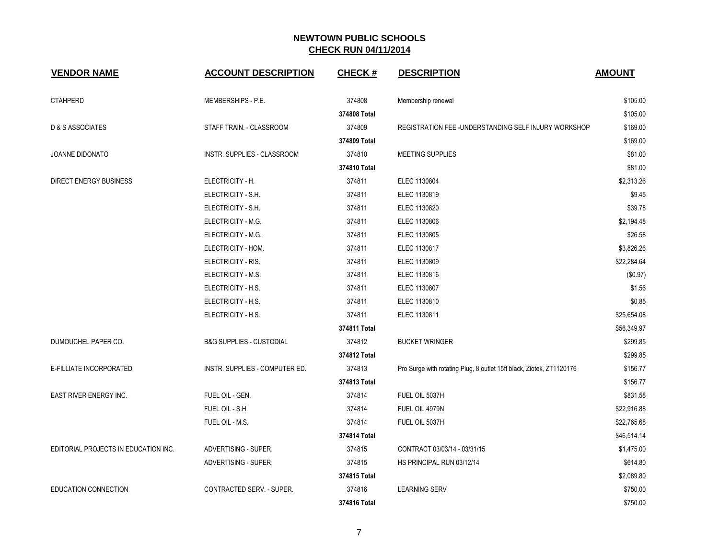| <b>VENDOR NAME</b>                   | <b>ACCOUNT DESCRIPTION</b>          | <b>CHECK#</b> | <b>DESCRIPTION</b>                                                   | <b>AMOUNT</b> |
|--------------------------------------|-------------------------------------|---------------|----------------------------------------------------------------------|---------------|
| <b>CTAHPERD</b>                      | MEMBERSHIPS - P.E.                  | 374808        | Membership renewal                                                   | \$105.00      |
|                                      |                                     | 374808 Total  |                                                                      | \$105.00      |
| D & S ASSOCIATES                     | STAFF TRAIN. - CLASSROOM            | 374809        | REGISTRATION FEE-UNDERSTANDING SELF INJURY WORKSHOP                  | \$169.00      |
|                                      |                                     | 374809 Total  |                                                                      | \$169.00      |
| <b>JOANNE DIDONATO</b>               | INSTR. SUPPLIES - CLASSROOM         | 374810        | <b>MEETING SUPPLIES</b>                                              | \$81.00       |
|                                      |                                     | 374810 Total  |                                                                      | \$81.00       |
| DIRECT ENERGY BUSINESS               | ELECTRICITY - H.                    | 374811        | ELEC 1130804                                                         | \$2,313.26    |
|                                      | ELECTRICITY - S.H.                  | 374811        | ELEC 1130819                                                         | \$9.45        |
|                                      | ELECTRICITY - S.H.                  | 374811        | ELEC 1130820                                                         | \$39.78       |
|                                      | ELECTRICITY - M.G.                  | 374811        | ELEC 1130806                                                         | \$2,194.48    |
|                                      | ELECTRICITY - M.G.                  | 374811        | ELEC 1130805                                                         | \$26.58       |
|                                      | ELECTRICITY - HOM.                  | 374811        | ELEC 1130817                                                         | \$3,826.26    |
|                                      | ELECTRICITY - RIS.                  | 374811        | ELEC 1130809                                                         | \$22,284.64   |
|                                      | ELECTRICITY - M.S.                  | 374811        | ELEC 1130816                                                         | (\$0.97)      |
|                                      | ELECTRICITY - H.S.                  | 374811        | ELEC 1130807                                                         | \$1.56        |
|                                      | ELECTRICITY - H.S.                  | 374811        | ELEC 1130810                                                         | \$0.85        |
|                                      | ELECTRICITY - H.S.                  | 374811        | ELEC 1130811                                                         | \$25,654.08   |
|                                      |                                     | 374811 Total  |                                                                      | \$56,349.97   |
| DUMOUCHEL PAPER CO.                  | <b>B&amp;G SUPPLIES - CUSTODIAL</b> | 374812        | <b>BUCKET WRINGER</b>                                                | \$299.85      |
|                                      |                                     | 374812 Total  |                                                                      | \$299.85      |
| E-FILLIATE INCORPORATED              | INSTR. SUPPLIES - COMPUTER ED.      | 374813        | Pro Surge with rotating Plug, 8 outlet 15ft black, Ziotek, ZT1120176 | \$156.77      |
|                                      |                                     | 374813 Total  |                                                                      | \$156.77      |
| EAST RIVER ENERGY INC.               | FUEL OIL - GEN.                     | 374814        | FUEL OIL 5037H                                                       | \$831.58      |
|                                      | FUEL OIL - S.H.                     | 374814        | FUEL OIL 4979N                                                       | \$22,916.88   |
|                                      | FUEL OIL - M.S.                     | 374814        | FUEL OIL 5037H                                                       | \$22,765.68   |
|                                      |                                     | 374814 Total  |                                                                      | \$46,514.14   |
| EDITORIAL PROJECTS IN EDUCATION INC. | ADVERTISING - SUPER.                | 374815        | CONTRACT 03/03/14 - 03/31/15                                         | \$1,475.00    |
|                                      | ADVERTISING - SUPER.                | 374815        | HS PRINCIPAL RUN 03/12/14                                            | \$614.80      |
|                                      |                                     | 374815 Total  |                                                                      | \$2,089.80    |
| <b>EDUCATION CONNECTION</b>          | <b>CONTRACTED SERV. - SUPER.</b>    | 374816        | <b>LEARNING SERV</b>                                                 | \$750.00      |
|                                      |                                     | 374816 Total  |                                                                      | \$750.00      |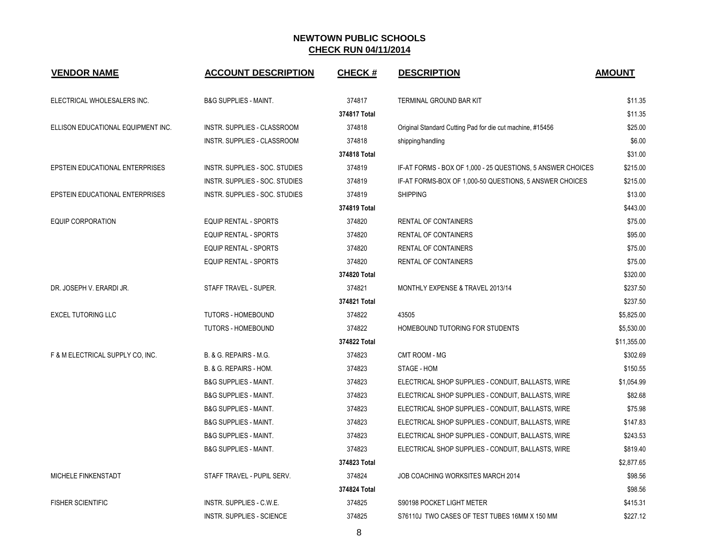| <b>VENDOR NAME</b>                 | <b>ACCOUNT DESCRIPTION</b>         | <b>CHECK#</b> | <b>DESCRIPTION</b>                                          | <b>AMOUNT</b> |
|------------------------------------|------------------------------------|---------------|-------------------------------------------------------------|---------------|
| ELECTRICAL WHOLESALERS INC.        | <b>B&amp;G SUPPLIES - MAINT.</b>   | 374817        | <b>TERMINAL GROUND BAR KIT</b>                              | \$11.35       |
|                                    |                                    | 374817 Total  |                                                             | \$11.35       |
| ELLISON EDUCATIONAL EQUIPMENT INC. | INSTR. SUPPLIES - CLASSROOM        | 374818        | Original Standard Cutting Pad for die cut machine, #15456   | \$25.00       |
|                                    | <b>INSTR. SUPPLIES - CLASSROOM</b> | 374818        | shipping/handling                                           | \$6.00        |
|                                    |                                    | 374818 Total  |                                                             | \$31.00       |
| EPSTEIN EDUCATIONAL ENTERPRISES    | INSTR. SUPPLIES - SOC. STUDIES     | 374819        | IF-AT FORMS - BOX OF 1,000 - 25 QUESTIONS, 5 ANSWER CHOICES | \$215.00      |
|                                    | INSTR. SUPPLIES - SOC. STUDIES     | 374819        | IF-AT FORMS-BOX OF 1,000-50 QUESTIONS, 5 ANSWER CHOICES     | \$215.00      |
| EPSTEIN EDUCATIONAL ENTERPRISES    | INSTR. SUPPLIES - SOC. STUDIES     | 374819        | <b>SHIPPING</b>                                             | \$13.00       |
|                                    |                                    | 374819 Total  |                                                             | \$443.00      |
| <b>EQUIP CORPORATION</b>           | <b>EQUIP RENTAL - SPORTS</b>       | 374820        | <b>RENTAL OF CONTAINERS</b>                                 | \$75.00       |
|                                    | <b>EQUIP RENTAL - SPORTS</b>       | 374820        | <b>RENTAL OF CONTAINERS</b>                                 | \$95.00       |
|                                    | <b>EQUIP RENTAL - SPORTS</b>       | 374820        | <b>RENTAL OF CONTAINERS</b>                                 | \$75.00       |
|                                    | <b>EQUIP RENTAL - SPORTS</b>       | 374820        | <b>RENTAL OF CONTAINERS</b>                                 | \$75.00       |
|                                    |                                    | 374820 Total  |                                                             | \$320.00      |
| DR. JOSEPH V. ERARDI JR.           | STAFF TRAVEL - SUPER.              | 374821        | MONTHLY EXPENSE & TRAVEL 2013/14                            | \$237.50      |
|                                    |                                    | 374821 Total  |                                                             | \$237.50      |
| <b>EXCEL TUTORING LLC</b>          | TUTORS - HOMEBOUND                 | 374822        | 43505                                                       | \$5,825.00    |
|                                    | TUTORS - HOMEBOUND                 | 374822        | HOMEBOUND TUTORING FOR STUDENTS                             | \$5,530.00    |
|                                    |                                    | 374822 Total  |                                                             | \$11,355.00   |
| F & M ELECTRICAL SUPPLY CO, INC.   | B. & G. REPAIRS - M.G.             | 374823        | CMT ROOM - MG                                               | \$302.69      |
|                                    | B. & G. REPAIRS - HOM.             | 374823        | STAGE - HOM                                                 | \$150.55      |
|                                    | <b>B&amp;G SUPPLIES - MAINT.</b>   | 374823        | ELECTRICAL SHOP SUPPLIES - CONDUIT, BALLASTS, WIRE          | \$1,054.99    |
|                                    | <b>B&amp;G SUPPLIES - MAINT.</b>   | 374823        | ELECTRICAL SHOP SUPPLIES - CONDUIT, BALLASTS, WIRE          | \$82.68       |
|                                    | <b>B&amp;G SUPPLIES - MAINT.</b>   | 374823        | ELECTRICAL SHOP SUPPLIES - CONDUIT, BALLASTS, WIRE          | \$75.98       |
|                                    | <b>B&amp;G SUPPLIES - MAINT.</b>   | 374823        | ELECTRICAL SHOP SUPPLIES - CONDUIT, BALLASTS, WIRE          | \$147.83      |
|                                    | <b>B&amp;G SUPPLIES - MAINT.</b>   | 374823        | ELECTRICAL SHOP SUPPLIES - CONDUIT, BALLASTS, WIRE          | \$243.53      |
|                                    | <b>B&amp;G SUPPLIES - MAINT.</b>   | 374823        | ELECTRICAL SHOP SUPPLIES - CONDUIT, BALLASTS, WIRE          | \$819.40      |
|                                    |                                    | 374823 Total  |                                                             | \$2,877.65    |
| MICHELE FINKENSTADT                | STAFF TRAVEL - PUPIL SERV.         | 374824        | JOB COACHING WORKSITES MARCH 2014                           | \$98.56       |
|                                    |                                    | 374824 Total  |                                                             | \$98.56       |
| <b>FISHER SCIENTIFIC</b>           | <b>INSTR. SUPPLIES - C.W.E.</b>    | 374825        | S90198 POCKET LIGHT METER                                   | \$415.31      |
|                                    | <b>INSTR. SUPPLIES - SCIENCE</b>   | 374825        | S76110J TWO CASES OF TEST TUBES 16MM X 150 MM               | \$227.12      |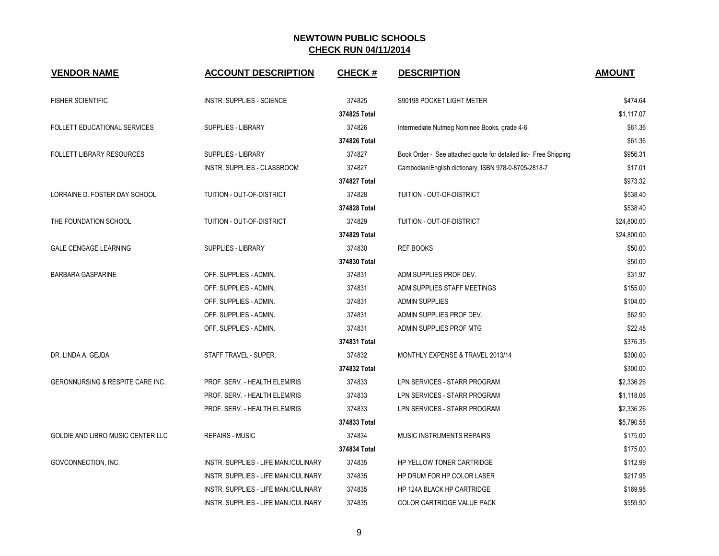| <b>VENDOR NAME</b>                          | <b>ACCOUNT DESCRIPTION</b>           | <b>CHECK#</b> | <b>DESCRIPTION</b>                                               | <b>AMOUNT</b> |
|---------------------------------------------|--------------------------------------|---------------|------------------------------------------------------------------|---------------|
| <b>FISHER SCIENTIFIC</b>                    | <b>INSTR. SUPPLIES - SCIENCE</b>     | 374825        | S90198 POCKET LIGHT METER                                        | \$474.64      |
|                                             |                                      | 374825 Total  |                                                                  | \$1,117.07    |
| <b>FOLLETT EDUCATIONAL SERVICES</b>         | <b>SUPPLIES - LIBRARY</b>            | 374826        | Intermediate Nutmeg Nominee Books, grade 4-6.                    | \$61.36       |
|                                             |                                      | 374826 Total  |                                                                  | \$61.36       |
| <b>FOLLETT LIBRARY RESOURCES</b>            | <b>SUPPLIES - LIBRARY</b>            | 374827        | Book Order - See attached quote for detailed list- Free Shipping | \$956.31      |
|                                             | INSTR. SUPPLIES - CLASSROOM          | 374827        | Cambodian/English dictionary, ISBN 978-0-8705-2818-7             | \$17.01       |
|                                             |                                      | 374827 Total  |                                                                  | \$973.32      |
| LORRAINE D. FOSTER DAY SCHOOL               | TUITION - OUT-OF-DISTRICT            | 374828        | TUITION - OUT-OF-DISTRICT                                        | \$538.40      |
|                                             |                                      | 374828 Total  |                                                                  | \$538.40      |
| THE FOUNDATION SCHOOL                       | TUITION - OUT-OF-DISTRICT            | 374829        | TUITION - OUT-OF-DISTRICT                                        | \$24,800.00   |
|                                             |                                      | 374829 Total  |                                                                  | \$24,800.00   |
| <b>GALE CENGAGE LEARNING</b>                | SUPPLIES - LIBRARY                   | 374830        | <b>REF BOOKS</b>                                                 | \$50.00       |
|                                             |                                      | 374830 Total  |                                                                  | \$50.00       |
| <b>BARBARA GASPARINE</b>                    | OFF. SUPPLIES - ADMIN.               | 374831        | ADM SUPPLIES PROF DEV.                                           | \$31.97       |
|                                             | OFF. SUPPLIES - ADMIN.               | 374831        | ADM SUPPLIES STAFF MEETINGS                                      | \$155.00      |
|                                             | OFF. SUPPLIES - ADMIN.               | 374831        | <b>ADMIN SUPPLIES</b>                                            | \$104.00      |
|                                             | OFF. SUPPLIES - ADMIN.               | 374831        | ADMIN SUPPLIES PROF DEV.                                         | \$62.90       |
|                                             | OFF. SUPPLIES - ADMIN.               | 374831        | ADMIN SUPPLIES PROF MTG                                          | \$22.48       |
|                                             |                                      | 374831 Total  |                                                                  | \$376.35      |
| DR. LINDA A. GEJDA                          | STAFF TRAVEL - SUPER.                | 374832        | MONTHLY EXPENSE & TRAVEL 2013/14                                 | \$300.00      |
|                                             |                                      | 374832 Total  |                                                                  | \$300.00      |
| <b>GERONNURSING &amp; RESPITE CARE INC.</b> | PROF. SERV. - HEALTH ELEM/RIS        | 374833        | LPN SERVICES - STARR PROGRAM                                     | \$2,336.26    |
|                                             | PROF. SERV. - HEALTH ELEM/RIS        | 374833        | LPN SERVICES - STARR PROGRAM                                     | \$1,118.06    |
|                                             | PROF. SERV. - HEALTH ELEM/RIS        | 374833        | LPN SERVICES - STARR PROGRAM                                     | \$2,336.26    |
|                                             |                                      | 374833 Total  |                                                                  | \$5,790.58    |
| GOLDIE AND LIBRO MUSIC CENTER LLC           | <b>REPAIRS - MUSIC</b>               | 374834        | MUSIC INSTRUMENTS REPAIRS                                        | \$175.00      |
|                                             |                                      | 374834 Total  |                                                                  | \$175.00      |
| GOVCONNECTION, INC.                         | INSTR. SUPPLIES - LIFE MAN./CULINARY | 374835        | HP YELLOW TONER CARTRIDGE                                        | \$112.99      |
|                                             | INSTR. SUPPLIES - LIFE MAN./CULINARY | 374835        | HP DRUM FOR HP COLOR LASER                                       | \$217.95      |
|                                             | INSTR. SUPPLIES - LIFE MAN./CULINARY | 374835        | HP 124A BLACK HP CARTRIDGE                                       | \$169.98      |
|                                             | INSTR. SUPPLIES - LIFE MAN./CULINARY | 374835        | <b>COLOR CARTRIDGE VALUE PACK</b>                                | \$559.90      |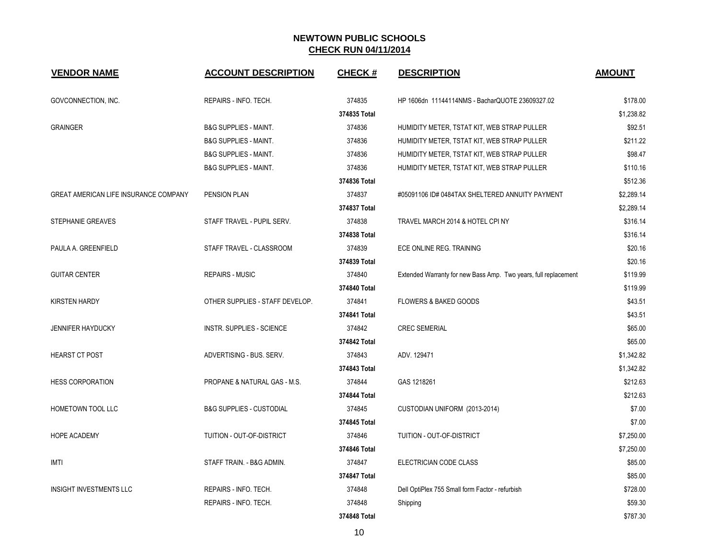| <b>VENDOR NAME</b>                    | <b>ACCOUNT DESCRIPTION</b>              | <b>CHECK#</b> | <b>DESCRIPTION</b>                                              | <b>AMOUNT</b> |
|---------------------------------------|-----------------------------------------|---------------|-----------------------------------------------------------------|---------------|
| GOVCONNECTION, INC.                   | REPAIRS - INFO. TECH.                   | 374835        | HP 1606dn 11144114NMS - BacharQUOTE 23609327.02                 | \$178.00      |
|                                       |                                         | 374835 Total  |                                                                 | \$1,238.82    |
| <b>GRAINGER</b>                       | <b>B&amp;G SUPPLIES - MAINT.</b>        | 374836        | HUMIDITY METER, TSTAT KIT, WEB STRAP PULLER                     | \$92.51       |
|                                       | <b>B&amp;G SUPPLIES - MAINT.</b>        | 374836        | HUMIDITY METER, TSTAT KIT, WEB STRAP PULLER                     | \$211.22      |
|                                       | <b>B&amp;G SUPPLIES - MAINT.</b>        | 374836        | HUMIDITY METER, TSTAT KIT, WEB STRAP PULLER                     | \$98.47       |
|                                       | <b>B&amp;G SUPPLIES - MAINT.</b>        | 374836        | HUMIDITY METER, TSTAT KIT, WEB STRAP PULLER                     | \$110.16      |
|                                       |                                         | 374836 Total  |                                                                 | \$512.36      |
| GREAT AMERICAN LIFE INSURANCE COMPANY | PENSION PLAN                            | 374837        | #05091106 ID# 0484TAX SHELTERED ANNUITY PAYMENT                 | \$2,289.14    |
|                                       |                                         | 374837 Total  |                                                                 | \$2,289.14    |
| STEPHANIE GREAVES                     | STAFF TRAVEL - PUPIL SERV.              | 374838        | TRAVEL MARCH 2014 & HOTEL CPI NY                                | \$316.14      |
|                                       |                                         | 374838 Total  |                                                                 | \$316.14      |
| PAULA A. GREENFIELD                   | STAFF TRAVEL - CLASSROOM                | 374839        | ECE ONLINE REG. TRAINING                                        | \$20.16       |
|                                       |                                         | 374839 Total  |                                                                 | \$20.16       |
| <b>GUITAR CENTER</b>                  | <b>REPAIRS - MUSIC</b>                  | 374840        | Extended Warranty for new Bass Amp. Two years, full replacement | \$119.99      |
|                                       |                                         | 374840 Total  |                                                                 | \$119.99      |
| <b>KIRSTEN HARDY</b>                  | OTHER SUPPLIES - STAFF DEVELOP.         | 374841        | FLOWERS & BAKED GOODS                                           | \$43.51       |
|                                       |                                         | 374841 Total  |                                                                 | \$43.51       |
| <b>JENNIFER HAYDUCKY</b>              | <b>INSTR. SUPPLIES - SCIENCE</b>        | 374842        | <b>CREC SEMERIAL</b>                                            | \$65.00       |
|                                       |                                         | 374842 Total  |                                                                 | \$65.00       |
| <b>HEARST CT POST</b>                 | ADVERTISING - BUS, SERV.                | 374843        | ADV. 129471                                                     | \$1,342.82    |
|                                       |                                         | 374843 Total  |                                                                 | \$1,342.82    |
| <b>HESS CORPORATION</b>               | <b>PROPANE &amp; NATURAL GAS - M.S.</b> | 374844        | GAS 1218261                                                     | \$212.63      |
|                                       |                                         | 374844 Total  |                                                                 | \$212.63      |
| <b>HOMETOWN TOOL LLC</b>              | <b>B&amp;G SUPPLIES - CUSTODIAL</b>     | 374845        | CUSTODIAN UNIFORM (2013-2014)                                   | \$7.00        |
|                                       |                                         | 374845 Total  |                                                                 | \$7.00        |
| <b>HOPE ACADEMY</b>                   | TUITION - OUT-OF-DISTRICT               | 374846        | TUITION - OUT-OF-DISTRICT                                       | \$7,250.00    |
|                                       |                                         | 374846 Total  |                                                                 | \$7,250.00    |
| <b>IMTI</b>                           | STAFF TRAIN. - B&G ADMIN.               | 374847        | ELECTRICIAN CODE CLASS                                          | \$85.00       |
|                                       |                                         | 374847 Total  |                                                                 | \$85.00       |
| INSIGHT INVESTMENTS LLC               | REPAIRS - INFO. TECH.                   | 374848        | Dell OptiPlex 755 Small form Factor - refurbish                 | \$728.00      |
|                                       | REPAIRS - INFO. TECH.                   | 374848        | Shipping                                                        | \$59.30       |
|                                       |                                         | 374848 Total  |                                                                 | \$787.30      |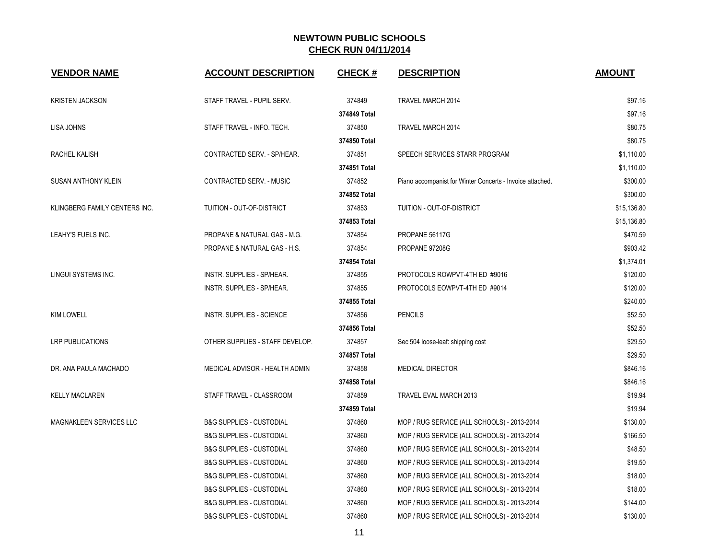| <b>VENDOR NAME</b>            | <b>ACCOUNT DESCRIPTION</b>          | <b>CHECK#</b> | <b>DESCRIPTION</b>                                        | <b>AMOUNT</b> |
|-------------------------------|-------------------------------------|---------------|-----------------------------------------------------------|---------------|
| <b>KRISTEN JACKSON</b>        | STAFF TRAVEL - PUPIL SERV.          | 374849        | TRAVEL MARCH 2014                                         | \$97.16       |
|                               |                                     | 374849 Total  |                                                           | \$97.16       |
| <b>LISA JOHNS</b>             | STAFF TRAVEL - INFO. TECH.          | 374850        | TRAVEL MARCH 2014                                         | \$80.75       |
|                               |                                     | 374850 Total  |                                                           | \$80.75       |
| RACHEL KALISH                 | CONTRACTED SERV. - SP/HEAR.         | 374851        | SPEECH SERVICES STARR PROGRAM                             | \$1,110.00    |
|                               |                                     | 374851 Total  |                                                           | \$1,110.00    |
| <b>SUSAN ANTHONY KLEIN</b>    | CONTRACTED SERV. - MUSIC            | 374852        | Piano accompanist for Winter Concerts - Invoice attached. | \$300.00      |
|                               |                                     | 374852 Total  |                                                           | \$300.00      |
| KLINGBERG FAMILY CENTERS INC. | TUITION - OUT-OF-DISTRICT           | 374853        | TUITION - OUT-OF-DISTRICT                                 | \$15,136.80   |
|                               |                                     | 374853 Total  |                                                           | \$15,136.80   |
| LEAHY'S FUELS INC.            | PROPANE & NATURAL GAS - M.G.        | 374854        | PROPANE 56117G                                            | \$470.59      |
|                               | PROPANE & NATURAL GAS - H.S.        | 374854        | PROPANE 97208G                                            | \$903.42      |
|                               |                                     | 374854 Total  |                                                           | \$1,374.01    |
| LINGUI SYSTEMS INC.           | INSTR. SUPPLIES - SP/HEAR.          | 374855        | PROTOCOLS ROWPVT-4TH ED #9016                             | \$120.00      |
|                               | INSTR. SUPPLIES - SP/HEAR.          | 374855        | PROTOCOLS EOWPVT-4TH ED #9014                             | \$120.00      |
|                               |                                     | 374855 Total  |                                                           | \$240.00      |
| <b>KIM LOWELL</b>             | <b>INSTR. SUPPLIES - SCIENCE</b>    | 374856        | <b>PENCILS</b>                                            | \$52.50       |
|                               |                                     | 374856 Total  |                                                           | \$52.50       |
| <b>LRP PUBLICATIONS</b>       | OTHER SUPPLIES - STAFF DEVELOP.     | 374857        | Sec 504 loose-leaf: shipping cost                         | \$29.50       |
|                               |                                     | 374857 Total  |                                                           | \$29.50       |
| DR. ANA PAULA MACHADO         | MEDICAL ADVISOR - HEALTH ADMIN      | 374858        | <b>MEDICAL DIRECTOR</b>                                   | \$846.16      |
|                               |                                     | 374858 Total  |                                                           | \$846.16      |
| <b>KELLY MACLAREN</b>         | STAFF TRAVEL - CLASSROOM            | 374859        | TRAVEL EVAL MARCH 2013                                    | \$19.94       |
|                               |                                     | 374859 Total  |                                                           | \$19.94       |
| MAGNAKLEEN SERVICES LLC       | <b>B&amp;G SUPPLIES - CUSTODIAL</b> | 374860        | MOP / RUG SERVICE (ALL SCHOOLS) - 2013-2014               | \$130.00      |
|                               | <b>B&amp;G SUPPLIES - CUSTODIAL</b> | 374860        | MOP / RUG SERVICE (ALL SCHOOLS) - 2013-2014               | \$166.50      |
|                               | <b>B&amp;G SUPPLIES - CUSTODIAL</b> | 374860        | MOP / RUG SERVICE (ALL SCHOOLS) - 2013-2014               | \$48.50       |
|                               | <b>B&amp;G SUPPLIES - CUSTODIAL</b> | 374860        | MOP / RUG SERVICE (ALL SCHOOLS) - 2013-2014               | \$19.50       |
|                               | <b>B&amp;G SUPPLIES - CUSTODIAL</b> | 374860        | MOP / RUG SERVICE (ALL SCHOOLS) - 2013-2014               | \$18.00       |
|                               | <b>B&amp;G SUPPLIES - CUSTODIAL</b> | 374860        | MOP / RUG SERVICE (ALL SCHOOLS) - 2013-2014               | \$18.00       |
|                               | <b>B&amp;G SUPPLIES - CUSTODIAL</b> | 374860        | MOP / RUG SERVICE (ALL SCHOOLS) - 2013-2014               | \$144.00      |
|                               | <b>B&amp;G SUPPLIES - CUSTODIAL</b> | 374860        | MOP / RUG SERVICE (ALL SCHOOLS) - 2013-2014               | \$130.00      |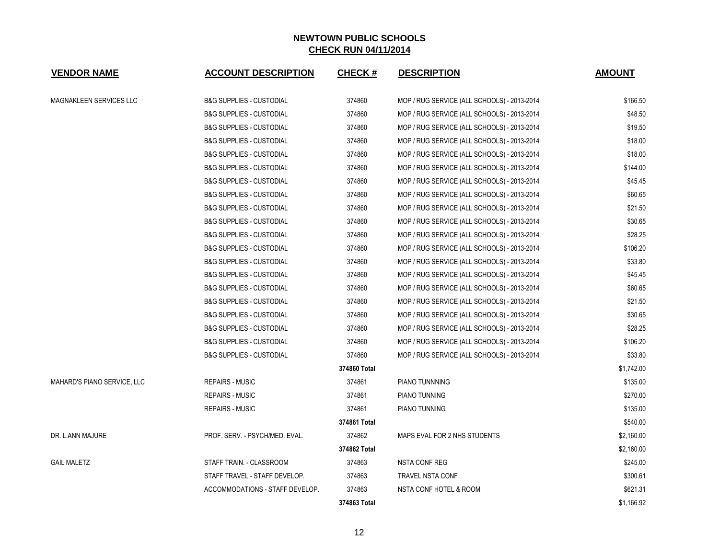| <b>VENDOR NAME</b>          | <b>ACCOUNT DESCRIPTION</b>          | <b>CHECK#</b> | <b>DESCRIPTION</b>                          | <b>AMOUNT</b> |
|-----------------------------|-------------------------------------|---------------|---------------------------------------------|---------------|
| MAGNAKLEEN SERVICES LLC     | <b>B&amp;G SUPPLIES - CUSTODIAL</b> | 374860        | MOP / RUG SERVICE (ALL SCHOOLS) - 2013-2014 | \$166.50      |
|                             | <b>B&amp;G SUPPLIES - CUSTODIAL</b> | 374860        | MOP / RUG SERVICE (ALL SCHOOLS) - 2013-2014 | \$48.50       |
|                             | <b>B&amp;G SUPPLIES - CUSTODIAL</b> | 374860        | MOP / RUG SERVICE (ALL SCHOOLS) - 2013-2014 | \$19.50       |
|                             | <b>B&amp;G SUPPLIES - CUSTODIAL</b> | 374860        | MOP / RUG SERVICE (ALL SCHOOLS) - 2013-2014 | \$18.00       |
|                             | <b>B&amp;G SUPPLIES - CUSTODIAL</b> | 374860        | MOP / RUG SERVICE (ALL SCHOOLS) - 2013-2014 | \$18.00       |
|                             | <b>B&amp;G SUPPLIES - CUSTODIAL</b> | 374860        | MOP / RUG SERVICE (ALL SCHOOLS) - 2013-2014 | \$144.00      |
|                             | <b>B&amp;G SUPPLIES - CUSTODIAL</b> | 374860        | MOP / RUG SERVICE (ALL SCHOOLS) - 2013-2014 | \$45.45       |
|                             | <b>B&amp;G SUPPLIES - CUSTODIAL</b> | 374860        | MOP / RUG SERVICE (ALL SCHOOLS) - 2013-2014 | \$60.65       |
|                             | <b>B&amp;G SUPPLIES - CUSTODIAL</b> | 374860        | MOP / RUG SERVICE (ALL SCHOOLS) - 2013-2014 | \$21.50       |
|                             | <b>B&amp;G SUPPLIES - CUSTODIAL</b> | 374860        | MOP / RUG SERVICE (ALL SCHOOLS) - 2013-2014 | \$30.65       |
|                             | <b>B&amp;G SUPPLIES - CUSTODIAL</b> | 374860        | MOP / RUG SERVICE (ALL SCHOOLS) - 2013-2014 | \$28.25       |
|                             | <b>B&amp;G SUPPLIES - CUSTODIAL</b> | 374860        | MOP / RUG SERVICE (ALL SCHOOLS) - 2013-2014 | \$106.20      |
|                             | <b>B&amp;G SUPPLIES - CUSTODIAL</b> | 374860        | MOP / RUG SERVICE (ALL SCHOOLS) - 2013-2014 | \$33.80       |
|                             | <b>B&amp;G SUPPLIES - CUSTODIAL</b> | 374860        | MOP / RUG SERVICE (ALL SCHOOLS) - 2013-2014 | \$45.45       |
|                             | <b>B&amp;G SUPPLIES - CUSTODIAL</b> | 374860        | MOP / RUG SERVICE (ALL SCHOOLS) - 2013-2014 | \$60.65       |
|                             | <b>B&amp;G SUPPLIES - CUSTODIAL</b> | 374860        | MOP / RUG SERVICE (ALL SCHOOLS) - 2013-2014 | \$21.50       |
|                             | <b>B&amp;G SUPPLIES - CUSTODIAL</b> | 374860        | MOP / RUG SERVICE (ALL SCHOOLS) - 2013-2014 | \$30.65       |
|                             | <b>B&amp;G SUPPLIES - CUSTODIAL</b> | 374860        | MOP / RUG SERVICE (ALL SCHOOLS) - 2013-2014 | \$28.25       |
|                             | <b>B&amp;G SUPPLIES - CUSTODIAL</b> | 374860        | MOP / RUG SERVICE (ALL SCHOOLS) - 2013-2014 | \$106.20      |
|                             | <b>B&amp;G SUPPLIES - CUSTODIAL</b> | 374860        | MOP / RUG SERVICE (ALL SCHOOLS) - 2013-2014 | \$33.80       |
|                             |                                     | 374860 Total  |                                             | \$1,742.00    |
| MAHARD'S PIANO SERVICE, LLC | <b>REPAIRS - MUSIC</b>              | 374861        | PIANO TUNNNING                              | \$135.00      |
|                             | <b>REPAIRS - MUSIC</b>              | 374861        | PIANO TUNNING                               | \$270.00      |
|                             | <b>REPAIRS - MUSIC</b>              | 374861        | PIANO TUNNING                               | \$135.00      |
|                             |                                     | 374861 Total  |                                             | \$540.00      |
| DR. L.ANN MAJURE            | PROF. SERV. - PSYCH/MED. EVAL.      | 374862        | MAPS EVAL FOR 2 NHS STUDENTS                | \$2,160.00    |
|                             |                                     | 374862 Total  |                                             | \$2,160.00    |
| <b>GAIL MALETZ</b>          | STAFF TRAIN. - CLASSROOM            | 374863        | <b>NSTA CONF REG</b>                        | \$245.00      |
|                             | STAFF TRAVEL - STAFF DEVELOP.       | 374863        | TRAVEL NSTA CONF                            | \$300.61      |
|                             | ACCOMMODATIONS - STAFF DEVELOP.     | 374863        | NSTA CONF HOTEL & ROOM                      | \$621.31      |
|                             |                                     | 374863 Total  |                                             | \$1,166.92    |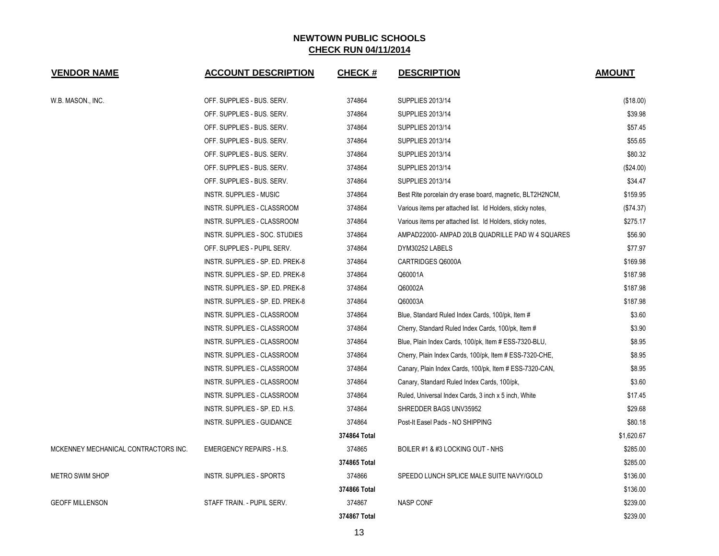| <b>VENDOR NAME</b>                   | <b>ACCOUNT DESCRIPTION</b>       | <b>CHECK#</b> | <b>DESCRIPTION</b>                                         | <b>AMOUNT</b> |
|--------------------------------------|----------------------------------|---------------|------------------------------------------------------------|---------------|
| W.B. MASON., INC.                    | OFF. SUPPLIES - BUS. SERV.       | 374864        | <b>SUPPLIES 2013/14</b>                                    | (\$18.00)     |
|                                      | OFF. SUPPLIES - BUS. SERV.       | 374864        | <b>SUPPLIES 2013/14</b>                                    | \$39.98       |
|                                      | OFF. SUPPLIES - BUS. SERV.       | 374864        | <b>SUPPLIES 2013/14</b>                                    | \$57.45       |
|                                      | OFF. SUPPLIES - BUS. SERV.       | 374864        | <b>SUPPLIES 2013/14</b>                                    | \$55.65       |
|                                      | OFF. SUPPLIES - BUS. SERV.       | 374864        | <b>SUPPLIES 2013/14</b>                                    | \$80.32       |
|                                      | OFF. SUPPLIES - BUS. SERV.       | 374864        | <b>SUPPLIES 2013/14</b>                                    | (\$24.00)     |
|                                      | OFF. SUPPLIES - BUS. SERV.       | 374864        | <b>SUPPLIES 2013/14</b>                                    | \$34.47       |
|                                      | <b>INSTR. SUPPLIES - MUSIC</b>   | 374864        | Best Rite porcelain dry erase board, magnetic, BLT2H2NCM,  | \$159.95      |
|                                      | INSTR. SUPPLIES - CLASSROOM      | 374864        | Various items per attached list. Id Holders, sticky notes, | (\$74.37)     |
|                                      | INSTR. SUPPLIES - CLASSROOM      | 374864        | Various items per attached list. Id Holders, sticky notes, | \$275.17      |
|                                      | INSTR. SUPPLIES - SOC. STUDIES   | 374864        | AMPAD22000- AMPAD 20LB QUADRILLE PAD W 4 SQUARES           | \$56.90       |
|                                      | OFF. SUPPLIES - PUPIL SERV.      | 374864        | DYM30252 LABELS                                            | \$77.97       |
|                                      | INSTR. SUPPLIES - SP. ED. PREK-8 | 374864        | CARTRIDGES Q6000A                                          | \$169.98      |
|                                      | INSTR. SUPPLIES - SP. ED. PREK-8 | 374864        | Q60001A                                                    | \$187.98      |
|                                      | INSTR. SUPPLIES - SP. ED. PREK-8 | 374864        | Q60002A                                                    | \$187.98      |
|                                      | INSTR. SUPPLIES - SP. ED. PREK-8 | 374864        | Q60003A                                                    | \$187.98      |
|                                      | INSTR. SUPPLIES - CLASSROOM      | 374864        | Blue, Standard Ruled Index Cards, 100/pk, Item #           | \$3.60        |
|                                      | INSTR. SUPPLIES - CLASSROOM      | 374864        | Cherry, Standard Ruled Index Cards, 100/pk, Item #         | \$3.90        |
|                                      | INSTR. SUPPLIES - CLASSROOM      | 374864        | Blue, Plain Index Cards, 100/pk, Item # ESS-7320-BLU,      | \$8.95        |
|                                      | INSTR. SUPPLIES - CLASSROOM      | 374864        | Cherry, Plain Index Cards, 100/pk, Item # ESS-7320-CHE,    | \$8.95        |
|                                      | INSTR. SUPPLIES - CLASSROOM      | 374864        | Canary, Plain Index Cards, 100/pk, Item # ESS-7320-CAN,    | \$8.95        |
|                                      | INSTR. SUPPLIES - CLASSROOM      | 374864        | Canary, Standard Ruled Index Cards, 100/pk,                | \$3.60        |
|                                      | INSTR. SUPPLIES - CLASSROOM      | 374864        | Ruled, Universal Index Cards, 3 inch x 5 inch, White       | \$17.45       |
|                                      | INSTR. SUPPLIES - SP. ED. H.S.   | 374864        | SHREDDER BAGS UNV35952                                     | \$29.68       |
|                                      | INSTR. SUPPLIES - GUIDANCE       | 374864        | Post-It Easel Pads - NO SHIPPING                           | \$80.18       |
|                                      |                                  | 374864 Total  |                                                            | \$1,620.67    |
| MCKENNEY MECHANICAL CONTRACTORS INC. | <b>EMERGENCY REPAIRS - H.S.</b>  | 374865        | BOILER #1 & #3 LOCKING OUT - NHS                           | \$285.00      |
|                                      |                                  | 374865 Total  |                                                            | \$285.00      |
| METRO SWIM SHOP                      | <b>INSTR. SUPPLIES - SPORTS</b>  | 374866        | SPEEDO LUNCH SPLICE MALE SUITE NAVY/GOLD                   | \$136.00      |
|                                      |                                  | 374866 Total  |                                                            | \$136.00      |
| <b>GEOFF MILLENSON</b>               | STAFF TRAIN. - PUPIL SERV.       | 374867        | <b>NASP CONF</b>                                           | \$239.00      |
|                                      |                                  | 374867 Total  |                                                            | \$239.00      |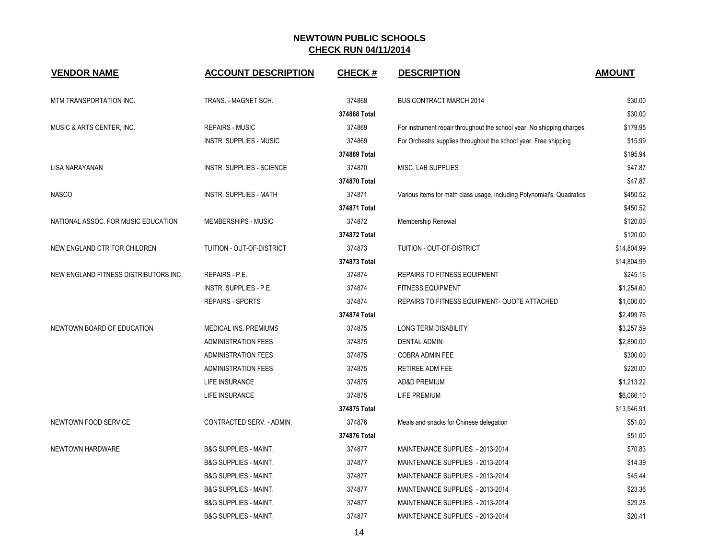| <b>VENDOR NAME</b>                    | <b>ACCOUNT DESCRIPTION</b>       | <b>CHECK#</b> | <b>DESCRIPTION</b>                                                     | <b>AMOUNT</b> |
|---------------------------------------|----------------------------------|---------------|------------------------------------------------------------------------|---------------|
| MTM TRANSPORTATION INC.               | TRANS. - MAGNET SCH.             | 374868        | <b>BUS CONTRACT MARCH 2014</b>                                         | \$30.00       |
|                                       |                                  | 374868 Total  |                                                                        | \$30.00       |
| MUSIC & ARTS CENTER, INC.             | <b>REPAIRS - MUSIC</b>           | 374869        | For instrument repair throughout the school year. No shipping charges. | \$179.95      |
|                                       | INSTR. SUPPLIES - MUSIC          | 374869        | For Orchestra supplies throughout the school year. Free shipping       | \$15.99       |
|                                       |                                  | 374869 Total  |                                                                        | \$195.94      |
| LISA NARAYANAN                        | <b>INSTR. SUPPLIES - SCIENCE</b> | 374870        | MISC. LAB SUPPLIES                                                     | \$47.87       |
|                                       |                                  | 374870 Total  |                                                                        | \$47.87       |
| <b>NASCO</b>                          | <b>INSTR. SUPPLIES - MATH</b>    | 374871        | Various items for math class usage, including Polynomial's, Quadratics | \$450.52      |
|                                       |                                  | 374871 Total  |                                                                        | \$450.52      |
| NATIONAL ASSOC. FOR MUSIC EDUCATION   | <b>MEMBERSHIPS - MUSIC</b>       | 374872        | Membership Renewal                                                     | \$120.00      |
|                                       |                                  | 374872 Total  |                                                                        | \$120.00      |
| NEW ENGLAND CTR FOR CHILDREN          | TUITION - OUT-OF-DISTRICT        | 374873        | TUITION - OUT-OF-DISTRICT                                              | \$14,804.99   |
|                                       |                                  | 374873 Total  |                                                                        | \$14,804.99   |
| NEW ENGLAND FITNESS DISTRIBUTORS INC. | REPAIRS - P.E.                   | 374874        | <b>REPAIRS TO FITNESS EQUIPMENT</b>                                    | \$245.16      |
|                                       | <b>INSTR. SUPPLIES - P.E.</b>    | 374874        | <b>FITNESS EQUIPMENT</b>                                               | \$1,254.60    |
|                                       | <b>REPAIRS - SPORTS</b>          | 374874        | REPAIRS TO FITNESS EQUIPMENT- QUOTE ATTACHED                           | \$1,000.00    |
|                                       |                                  | 374874 Total  |                                                                        | \$2,499.76    |
| NEWTOWN BOARD OF EDUCATION            | MEDICAL INS. PREMIUMS            | 374875        | <b>LONG TERM DISABILITY</b>                                            | \$3,257.59    |
|                                       | <b>ADMINISTRATION FEES</b>       | 374875        | DENTAL ADMIN                                                           | \$2,890.00    |
|                                       | <b>ADMINISTRATION FEES</b>       | 374875        | COBRA ADMIN FEE                                                        | \$300.00      |
|                                       | <b>ADMINISTRATION FEES</b>       | 374875        | <b>RETIREE ADM FEE</b>                                                 | \$220.00      |
|                                       | <b>LIFE INSURANCE</b>            | 374875        | <b>AD&amp;D PREMIUM</b>                                                | \$1,213.22    |
|                                       | LIFE INSURANCE                   | 374875        | <b>LIFE PREMIUM</b>                                                    | \$6,066.10    |
|                                       |                                  | 374875 Total  |                                                                        | \$13,946.91   |
| NEWTOWN FOOD SERVICE                  | CONTRACTED SERV. - ADMIN.        | 374876        | Meals and snacks for Chinese delegation                                | \$51.00       |
|                                       |                                  | 374876 Total  |                                                                        | \$51.00       |
| NEWTOWN HARDWARE                      | <b>B&amp;G SUPPLIES - MAINT.</b> | 374877        | MAINTENANCE SUPPLIES - 2013-2014                                       | \$70.83       |
|                                       | <b>B&amp;G SUPPLIES - MAINT.</b> | 374877        | MAINTENANCE SUPPLIES - 2013-2014                                       | \$14.39       |
|                                       | <b>B&amp;G SUPPLIES - MAINT.</b> | 374877        | MAINTENANCE SUPPLIES - 2013-2014                                       | \$45.44       |
|                                       | B&G SUPPLIES - MAINT.            | 374877        | MAINTENANCE SUPPLIES - 2013-2014                                       | \$23.36       |
|                                       | <b>B&amp;G SUPPLIES - MAINT.</b> | 374877        | MAINTENANCE SUPPLIES - 2013-2014                                       | \$29.28       |
|                                       | <b>B&amp;G SUPPLIES - MAINT.</b> | 374877        | MAINTENANCE SUPPLIES - 2013-2014                                       | \$20.41       |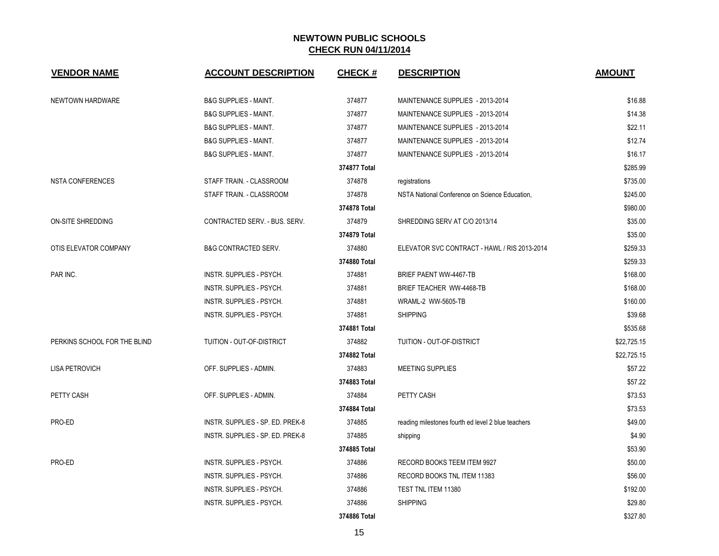| <b>VENDOR NAME</b>           | <b>ACCOUNT DESCRIPTION</b>       | <b>CHECK#</b> | <b>DESCRIPTION</b>                                 | <b>AMOUNT</b> |
|------------------------------|----------------------------------|---------------|----------------------------------------------------|---------------|
| NEWTOWN HARDWARE             | <b>B&amp;G SUPPLIES - MAINT.</b> | 374877        | MAINTENANCE SUPPLIES - 2013-2014                   | \$16.88       |
|                              | <b>B&amp;G SUPPLIES - MAINT.</b> | 374877        | MAINTENANCE SUPPLIES - 2013-2014                   | \$14.38       |
|                              | <b>B&amp;G SUPPLIES - MAINT.</b> | 374877        | MAINTENANCE SUPPLIES - 2013-2014                   | \$22.11       |
|                              | <b>B&amp;G SUPPLIES - MAINT.</b> | 374877        | MAINTENANCE SUPPLIES - 2013-2014                   | \$12.74       |
|                              | <b>B&amp;G SUPPLIES - MAINT.</b> | 374877        | MAINTENANCE SUPPLIES - 2013-2014                   | \$16.17       |
|                              |                                  | 374877 Total  |                                                    | \$285.99      |
| <b>NSTA CONFERENCES</b>      | STAFF TRAIN. - CLASSROOM         | 374878        | registrations                                      | \$735.00      |
|                              | STAFF TRAIN. - CLASSROOM         | 374878        | NSTA National Conference on Science Education,     | \$245.00      |
|                              |                                  | 374878 Total  |                                                    | \$980.00      |
| ON-SITE SHREDDING            | CONTRACTED SERV. - BUS. SERV.    | 374879        | SHREDDING SERV AT C/O 2013/14                      | \$35.00       |
|                              |                                  | 374879 Total  |                                                    | \$35.00       |
| OTIS ELEVATOR COMPANY        | <b>B&amp;G CONTRACTED SERV.</b>  | 374880        | ELEVATOR SVC CONTRACT - HAWL / RIS 2013-2014       | \$259.33      |
|                              |                                  | 374880 Total  |                                                    | \$259.33      |
| PAR INC.                     | INSTR. SUPPLIES - PSYCH.         | 374881        | BRIEF PAENT WW-4467-TB                             | \$168.00      |
|                              | INSTR. SUPPLIES - PSYCH.         | 374881        | BRIEF TEACHER WW-4468-TB                           | \$168.00      |
|                              | INSTR. SUPPLIES - PSYCH.         | 374881        | WRAML-2 WW-5605-TB                                 | \$160.00      |
|                              | INSTR. SUPPLIES - PSYCH.         | 374881        | <b>SHIPPING</b>                                    | \$39.68       |
|                              |                                  | 374881 Total  |                                                    | \$535.68      |
| PERKINS SCHOOL FOR THE BLIND | TUITION - OUT-OF-DISTRICT        | 374882        | TUITION - OUT-OF-DISTRICT                          | \$22,725.15   |
|                              |                                  | 374882 Total  |                                                    | \$22.725.15   |
| <b>LISA PETROVICH</b>        | OFF. SUPPLIES - ADMIN.           | 374883        | MEETING SUPPLIES                                   | \$57.22       |
|                              |                                  | 374883 Total  |                                                    | \$57.22       |
| PETTY CASH                   | OFF. SUPPLIES - ADMIN.           | 374884        | PETTY CASH                                         | \$73.53       |
|                              |                                  | 374884 Total  |                                                    | \$73.53       |
| PRO-ED                       | INSTR. SUPPLIES - SP. ED. PREK-8 | 374885        | reading milestones fourth ed level 2 blue teachers | \$49.00       |
|                              | INSTR. SUPPLIES - SP. ED. PREK-8 | 374885        | shipping                                           | \$4.90        |
|                              |                                  | 374885 Total  |                                                    | \$53.90       |
| PRO-ED                       | INSTR. SUPPLIES - PSYCH.         | 374886        | RECORD BOOKS TEEM ITEM 9927                        | \$50.00       |
|                              | INSTR. SUPPLIES - PSYCH.         | 374886        | RECORD BOOKS TNL ITEM 11383                        | \$56.00       |
|                              | INSTR. SUPPLIES - PSYCH.         | 374886        | TEST TNL ITEM 11380                                | \$192.00      |
|                              | INSTR. SUPPLIES - PSYCH.         | 374886        | <b>SHIPPING</b>                                    | \$29.80       |
|                              |                                  | 374886 Total  |                                                    | \$327.80      |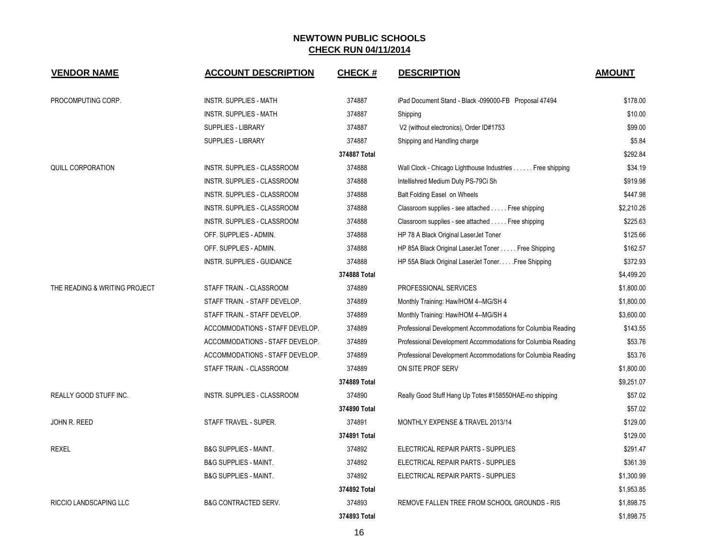| <b>VENDOR NAME</b>            | <b>ACCOUNT DESCRIPTION</b>         | <b>CHECK#</b> | <b>DESCRIPTION</b>                                           | <b>AMOUNT</b> |
|-------------------------------|------------------------------------|---------------|--------------------------------------------------------------|---------------|
| PROCOMPUTING CORP.            | <b>INSTR. SUPPLIES - MATH</b>      | 374887        | iPad Document Stand - Black -099000-FB Proposal 47494        | \$178.00      |
|                               | <b>INSTR. SUPPLIES - MATH</b>      | 374887        | Shipping                                                     | \$10.00       |
|                               | <b>SUPPLIES - LIBRARY</b>          | 374887        | V2 (without electronics), Order ID#1753                      | \$99.00       |
|                               | <b>SUPPLIES - LIBRARY</b>          | 374887        | Shipping and Handling charge                                 | \$5.84        |
|                               |                                    | 374887 Total  |                                                              | \$292.84      |
| <b>QUILL CORPORATION</b>      | INSTR. SUPPLIES - CLASSROOM        | 374888        | Wall Clock - Chicago Lighthouse Industries Free shipping     | \$34.19       |
|                               | INSTR. SUPPLIES - CLASSROOM        | 374888        | Intellishred Medium Duty PS-79Ci Sh                          | \$919.98      |
|                               | INSTR. SUPPLIES - CLASSROOM        | 374888        | Balt Folding Easel on Wheels                                 | \$447.98      |
|                               | INSTR. SUPPLIES - CLASSROOM        | 374888        | Classroom supplies - see attached Free shipping              | \$2,210.26    |
|                               | INSTR. SUPPLIES - CLASSROOM        | 374888        | Classroom supplies - see attached Free shipping              | \$225.63      |
|                               | OFF. SUPPLIES - ADMIN.             | 374888        | HP 78 A Black Original LaserJet Toner                        | \$125.66      |
|                               | OFF. SUPPLIES - ADMIN.             | 374888        | HP 85A Black Original LaserJet Toner Free Shipping           | \$162.57      |
|                               | INSTR. SUPPLIES - GUIDANCE         | 374888        | HP 55A Black Original LaserJet Toner. Free Shipping          | \$372.93      |
|                               |                                    | 374888 Total  |                                                              | \$4,499.20    |
| THE READING & WRITING PROJECT | STAFF TRAIN. - CLASSROOM           | 374889        | PROFESSIONAL SERVICES                                        | \$1,800.00    |
|                               | STAFF TRAIN. - STAFF DEVELOP.      | 374889        | Monthly Training: Haw/HOM 4--MG/SH 4                         | \$1,800.00    |
|                               | STAFF TRAIN. - STAFF DEVELOP.      | 374889        | Monthly Training: Haw/HOM 4--MG/SH 4                         | \$3,600.00    |
|                               | ACCOMMODATIONS - STAFF DEVELOP.    | 374889        | Professional Development Accommodations for Columbia Reading | \$143.55      |
|                               | ACCOMMODATIONS - STAFF DEVELOP.    | 374889        | Professional Development Accommodations for Columbia Reading | \$53.76       |
|                               | ACCOMMODATIONS - STAFF DEVELOP.    | 374889        | Professional Development Accommodations for Columbia Reading | \$53.76       |
|                               | STAFF TRAIN. - CLASSROOM           | 374889        | ON SITE PROF SERV                                            | \$1,800.00    |
|                               |                                    | 374889 Total  |                                                              | \$9,251.07    |
| <b>REALLY GOOD STUFF INC.</b> | <b>INSTR. SUPPLIES - CLASSROOM</b> | 374890        | Really Good Stuff Hang Up Totes #158550HAE-no shipping       | \$57.02       |
|                               |                                    | 374890 Total  |                                                              | \$57.02       |
| JOHN R. REED                  | STAFF TRAVEL - SUPER.              | 374891        | MONTHLY EXPENSE & TRAVEL 2013/14                             | \$129.00      |
|                               |                                    | 374891 Total  |                                                              | \$129.00      |
| <b>REXEL</b>                  | <b>B&amp;G SUPPLIES - MAINT.</b>   | 374892        | ELECTRICAL REPAIR PARTS - SUPPLIES                           | \$291.47      |
|                               | <b>B&amp;G SUPPLIES - MAINT.</b>   | 374892        | ELECTRICAL REPAIR PARTS - SUPPLIES                           | \$361.39      |
|                               | <b>B&amp;G SUPPLIES - MAINT.</b>   | 374892        | ELECTRICAL REPAIR PARTS - SUPPLIES                           | \$1,300.99    |
|                               |                                    | 374892 Total  |                                                              | \$1,953.85    |
| <b>RICCIO LANDSCAPING LLC</b> | <b>B&amp;G CONTRACTED SERV.</b>    | 374893        | REMOVE FALLEN TREE FROM SCHOOL GROUNDS - RIS                 | \$1,898.75    |
|                               |                                    | 374893 Total  |                                                              | \$1,898.75    |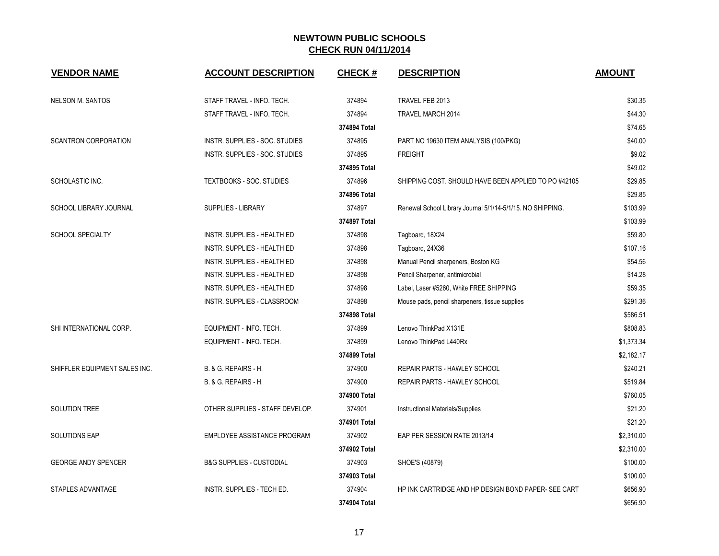| <b>VENDOR NAME</b>            | <b>ACCOUNT DESCRIPTION</b>          | CHECK #      | <b>DESCRIPTION</b>                                         | <b>AMOUNT</b> |
|-------------------------------|-------------------------------------|--------------|------------------------------------------------------------|---------------|
| <b>NELSON M. SANTOS</b>       | STAFF TRAVEL - INFO. TECH.          | 374894       | TRAVEL FEB 2013                                            | \$30.35       |
|                               | STAFF TRAVEL - INFO. TECH.          | 374894       | TRAVEL MARCH 2014                                          | \$44.30       |
|                               |                                     | 374894 Total |                                                            | \$74.65       |
| <b>SCANTRON CORPORATION</b>   | INSTR. SUPPLIES - SOC. STUDIES      | 374895       | PART NO 19630 ITEM ANALYSIS (100/PKG)                      | \$40.00       |
|                               | INSTR. SUPPLIES - SOC. STUDIES      | 374895       | <b>FREIGHT</b>                                             | \$9.02        |
|                               |                                     | 374895 Total |                                                            | \$49.02       |
| SCHOLASTIC INC.               | <b>TEXTBOOKS - SOC. STUDIES</b>     | 374896       | SHIPPING COST. SHOULD HAVE BEEN APPLIED TO PO#42105        | \$29.85       |
|                               |                                     | 374896 Total |                                                            | \$29.85       |
| SCHOOL LIBRARY JOURNAL        | <b>SUPPLIES - LIBRARY</b>           | 374897       | Renewal School Library Journal 5/1/14-5/1/15. NO SHIPPING. | \$103.99      |
|                               |                                     | 374897 Total |                                                            | \$103.99      |
| <b>SCHOOL SPECIALTY</b>       | <b>INSTR. SUPPLIES - HEALTH ED</b>  | 374898       | Tagboard, 18X24                                            | \$59.80       |
|                               | <b>INSTR. SUPPLIES - HEALTH ED</b>  | 374898       | Tagboard, 24X36                                            | \$107.16      |
|                               | INSTR. SUPPLIES - HEALTH ED         | 374898       | Manual Pencil sharpeners, Boston KG                        | \$54.56       |
|                               | INSTR. SUPPLIES - HEALTH ED         | 374898       | Pencil Sharpener, antimicrobial                            | \$14.28       |
|                               | INSTR. SUPPLIES - HEALTH ED         | 374898       | Label, Laser #5260, White FREE SHIPPING                    | \$59.35       |
|                               | INSTR. SUPPLIES - CLASSROOM         | 374898       | Mouse pads, pencil sharpeners, tissue supplies             | \$291.36      |
|                               |                                     | 374898 Total |                                                            | \$586.51      |
| SHI INTERNATIONAL CORP.       | EQUIPMENT - INFO. TECH.             | 374899       | Lenovo ThinkPad X131E                                      | \$808.83      |
|                               | EQUIPMENT - INFO. TECH.             | 374899       | Lenovo ThinkPad L440Rx                                     | \$1,373.34    |
|                               |                                     | 374899 Total |                                                            | \$2,182.17    |
| SHIFFLER EQUIPMENT SALES INC. | B. & G. REPAIRS - H.                | 374900       | <b>REPAIR PARTS - HAWLEY SCHOOL</b>                        | \$240.21      |
|                               | B. & G. REPAIRS - H.                | 374900       | <b>REPAIR PARTS - HAWLEY SCHOOL</b>                        | \$519.84      |
|                               |                                     | 374900 Total |                                                            | \$760.05      |
| SOLUTION TREE                 | OTHER SUPPLIES - STAFF DEVELOP.     | 374901       | Instructional Materials/Supplies                           | \$21.20       |
|                               |                                     | 374901 Total |                                                            | \$21.20       |
| <b>SOLUTIONS EAP</b>          | EMPLOYEE ASSISTANCE PROGRAM         | 374902       | EAP PER SESSION RATE 2013/14                               | \$2,310.00    |
|                               |                                     | 374902 Total |                                                            | \$2,310.00    |
| <b>GEORGE ANDY SPENCER</b>    | <b>B&amp;G SUPPLIES - CUSTODIAL</b> | 374903       | SHOE'S (40879)                                             | \$100.00      |
|                               |                                     | 374903 Total |                                                            | \$100.00      |
| STAPLES ADVANTAGE             | INSTR. SUPPLIES - TECH ED.          | 374904       | HP INK CARTRIDGE AND HP DESIGN BOND PAPER- SEE CART        | \$656.90      |
|                               |                                     | 374904 Total |                                                            | \$656.90      |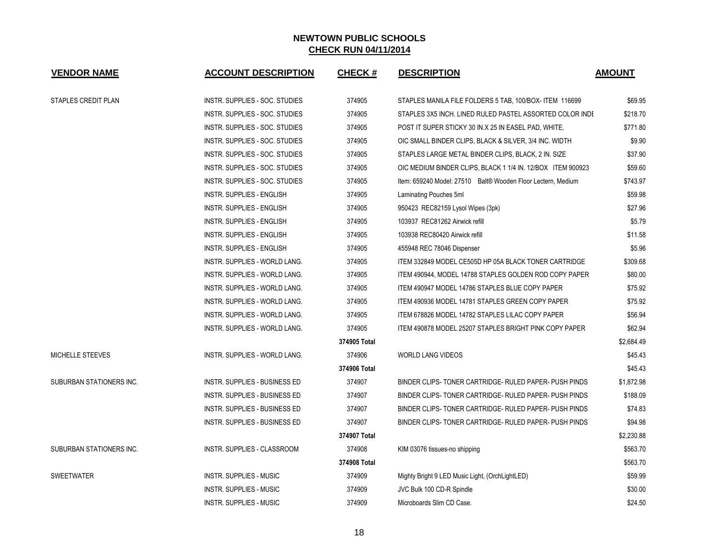| <b>VENDOR NAME</b>       | <b>ACCOUNT DESCRIPTION</b>           | <b>CHECK#</b> | <b>DESCRIPTION</b>                                           | <b>AMOUNT</b> |
|--------------------------|--------------------------------------|---------------|--------------------------------------------------------------|---------------|
| STAPLES CREDIT PLAN      | INSTR. SUPPLIES - SOC. STUDIES       | 374905        | STAPLES MANILA FILE FOLDERS 5 TAB, 100/BOX- ITEM 116699      | \$69.95       |
|                          | INSTR. SUPPLIES - SOC. STUDIES       | 374905        | STAPLES 3X5 INCH. LINED RULED PASTEL ASSORTED COLOR INDI     | \$218.70      |
|                          | INSTR. SUPPLIES - SOC. STUDIES       | 374905        | POST IT SUPER STICKY 30 IN.X 25 IN EASEL PAD, WHITE,         | \$771.80      |
|                          | INSTR. SUPPLIES - SOC. STUDIES       | 374905        | OIC SMALL BINDER CLIPS, BLACK & SILVER, 3/4 INC. WIDTH       | \$9.90        |
|                          | INSTR. SUPPLIES - SOC. STUDIES       | 374905        | STAPLES LARGE METAL BINDER CLIPS, BLACK, 2 IN. SIZE          | \$37.90       |
|                          | INSTR. SUPPLIES - SOC. STUDIES       | 374905        | OIC MEDIUM BINDER CLIPS, BLACK 1 1/4 IN. 12/BOX ITEM 900923  | \$59.60       |
|                          | INSTR. SUPPLIES - SOC. STUDIES       | 374905        | Item: 659240 Model: 27510 Balt® Wooden Floor Lectern, Medium | \$743.97      |
|                          | <b>INSTR. SUPPLIES - ENGLISH</b>     | 374905        | Laminating Pouches 5ml                                       | \$59.98       |
|                          | <b>INSTR. SUPPLIES - ENGLISH</b>     | 374905        | 950423 REC82159 Lysol Wipes (3pk)                            | \$27.96       |
|                          | INSTR. SUPPLIES - ENGLISH            | 374905        | 103937 REC81262 Airwick refill                               | \$5.79        |
|                          | INSTR. SUPPLIES - ENGLISH            | 374905        | 103938 REC80420 Airwick refill                               | \$11.58       |
|                          | INSTR. SUPPLIES - ENGLISH            | 374905        | 455948 REC 78046 Dispenser                                   | \$5.96        |
|                          | INSTR. SUPPLIES - WORLD LANG.        | 374905        | ITEM 332849 MODEL CE505D HP 05A BLACK TONER CARTRIDGE        | \$309.68      |
|                          | INSTR. SUPPLIES - WORLD LANG.        | 374905        | ITEM 490944. MODEL 14788 STAPLES GOLDEN ROD COPY PAPER       | \$80.00       |
|                          | <b>INSTR. SUPPLIES - WORLD LANG.</b> | 374905        | ITEM 490947 MODEL 14786 STAPLES BLUE COPY PAPER              | \$75.92       |
|                          | INSTR. SUPPLIES - WORLD LANG.        | 374905        | ITEM 490936 MODEL 14781 STAPLES GREEN COPY PAPER             | \$75.92       |
|                          | INSTR. SUPPLIES - WORLD LANG.        | 374905        | ITEM 678826 MODEL 14782 STAPLES LILAC COPY PAPER             | \$56.94       |
|                          | INSTR. SUPPLIES - WORLD LANG.        | 374905        | ITEM 490878 MODEL 25207 STAPLES BRIGHT PINK COPY PAPER       | \$62.94       |
|                          |                                      | 374905 Total  |                                                              | \$2,684.49    |
| MICHELLE STEEVES         | INSTR. SUPPLIES - WORLD LANG.        | 374906        | <b>WORLD LANG VIDEOS</b>                                     | \$45.43       |
|                          |                                      | 374906 Total  |                                                              | \$45.43       |
| SUBURBAN STATIONERS INC. | <b>INSTR. SUPPLIES - BUSINESS ED</b> | 374907        | BINDER CLIPS- TONER CARTRIDGE- RULED PAPER- PUSH PINDS       | \$1,872.98    |
|                          | <b>INSTR. SUPPLIES - BUSINESS ED</b> | 374907        | BINDER CLIPS-TONER CARTRIDGE- RULED PAPER- PUSH PINDS        | \$188.09      |
|                          | <b>INSTR. SUPPLIES - BUSINESS ED</b> | 374907        | BINDER CLIPS- TONER CARTRIDGE- RULED PAPER- PUSH PINDS       | \$74.83       |
|                          | INSTR. SUPPLIES - BUSINESS ED        | 374907        | BINDER CLIPS-TONER CARTRIDGE- RULED PAPER- PUSH PINDS        | \$94.98       |
|                          |                                      | 374907 Total  |                                                              | \$2,230.88    |
| SUBURBAN STATIONERS INC. | INSTR. SUPPLIES - CLASSROOM          | 374908        | KIM 03076 tissues-no shipping                                | \$563.70      |
|                          |                                      | 374908 Total  |                                                              | \$563.70      |
| <b>SWEETWATER</b>        | INSTR. SUPPLIES - MUSIC              | 374909        | Mighty Bright 9 LED Music Light, (OrchLightLED)              | \$59.99       |
|                          | INSTR. SUPPLIES - MUSIC              | 374909        | JVC Bulk 100 CD-R Spindle                                    | \$30.00       |
|                          | INSTR. SUPPLIES - MUSIC              | 374909        | Microboards Slim CD Case.                                    | \$24.50       |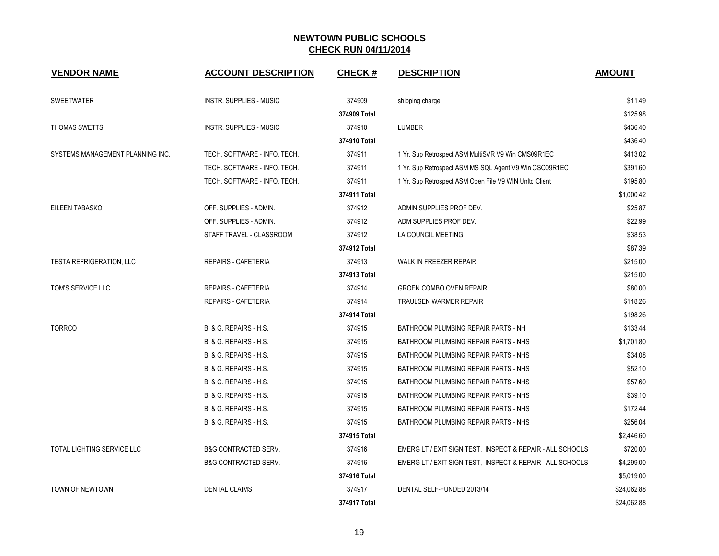| <b>VENDOR NAME</b>                | <b>ACCOUNT DESCRIPTION</b>      | <b>CHECK#</b> | <b>DESCRIPTION</b>                                        | <b>AMOUNT</b> |
|-----------------------------------|---------------------------------|---------------|-----------------------------------------------------------|---------------|
| <b>SWEETWATER</b>                 | <b>INSTR. SUPPLIES - MUSIC</b>  | 374909        | shipping charge.                                          | \$11.49       |
|                                   |                                 | 374909 Total  |                                                           | \$125.98      |
| THOMAS SWETTS                     | <b>INSTR. SUPPLIES - MUSIC</b>  | 374910        | <b>LUMBER</b>                                             | \$436.40      |
|                                   |                                 | 374910 Total  |                                                           | \$436.40      |
| SYSTEMS MANAGEMENT PLANNING INC.  | TECH. SOFTWARE - INFO. TECH.    | 374911        | 1 Yr. Sup Retrospect ASM MultiSVR V9 Win CMS09R1EC        | \$413.02      |
|                                   | TECH. SOFTWARE - INFO. TECH.    | 374911        | 1 Yr. Sup Retrospect ASM MS SQL Agent V9 Win CSQ09R1EC    | \$391.60      |
|                                   | TECH. SOFTWARE - INFO. TECH.    | 374911        | 1 Yr. Sup Retrospect ASM Open File V9 WIN UnItd Client    | \$195.80      |
|                                   |                                 | 374911 Total  |                                                           | \$1,000.42    |
| <b>EILEEN TABASKO</b>             | OFF. SUPPLIES - ADMIN.          | 374912        | ADMIN SUPPLIES PROF DEV.                                  | \$25.87       |
|                                   | OFF. SUPPLIES - ADMIN.          | 374912        | ADM SUPPLIES PROF DEV.                                    | \$22.99       |
|                                   | STAFF TRAVEL - CLASSROOM        | 374912        | LA COUNCIL MEETING                                        | \$38.53       |
|                                   |                                 | 374912 Total  |                                                           | \$87.39       |
| <b>TESTA REFRIGERATION, LLC</b>   | <b>REPAIRS - CAFETERIA</b>      | 374913        | WALK IN FREEZER REPAIR                                    | \$215.00      |
|                                   |                                 | 374913 Total  |                                                           | \$215.00      |
| TOM'S SERVICE LLC                 | <b>REPAIRS - CAFETERIA</b>      | 374914        | <b>GROEN COMBO OVEN REPAIR</b>                            | \$80.00       |
|                                   | <b>REPAIRS - CAFETERIA</b>      | 374914        | <b>TRAULSEN WARMER REPAIR</b>                             | \$118.26      |
|                                   |                                 | 374914 Total  |                                                           | \$198.26      |
| <b>TORRCO</b>                     | B. & G. REPAIRS - H.S.          | 374915        | BATHROOM PLUMBING REPAIR PARTS - NH                       | \$133.44      |
|                                   | B. & G. REPAIRS - H.S.          | 374915        | BATHROOM PLUMBING REPAIR PARTS - NHS                      | \$1,701.80    |
|                                   | B. & G. REPAIRS - H.S.          | 374915        | BATHROOM PLUMBING REPAIR PARTS - NHS                      | \$34.08       |
|                                   | B. & G. REPAIRS - H.S.          | 374915        | BATHROOM PLUMBING REPAIR PARTS - NHS                      | \$52.10       |
|                                   | B. & G. REPAIRS - H.S.          | 374915        | BATHROOM PLUMBING REPAIR PARTS - NHS                      | \$57.60       |
|                                   | B. & G. REPAIRS - H.S.          | 374915        | BATHROOM PLUMBING REPAIR PARTS - NHS                      | \$39.10       |
|                                   | B. & G. REPAIRS - H.S.          | 374915        | BATHROOM PLUMBING REPAIR PARTS - NHS                      | \$172.44      |
|                                   | B. & G. REPAIRS - H.S.          | 374915        | BATHROOM PLUMBING REPAIR PARTS - NHS                      | \$256.04      |
|                                   |                                 | 374915 Total  |                                                           | \$2,446.60    |
| <b>TOTAL LIGHTING SERVICE LLC</b> | <b>B&amp;G CONTRACTED SERV.</b> | 374916        | EMERG LT / EXIT SIGN TEST, INSPECT & REPAIR - ALL SCHOOLS | \$720.00      |
|                                   | <b>B&amp;G CONTRACTED SERV.</b> | 374916        | EMERG LT / EXIT SIGN TEST, INSPECT & REPAIR - ALL SCHOOLS | \$4,299.00    |
|                                   |                                 | 374916 Total  |                                                           | \$5,019.00    |
| TOWN OF NEWTOWN                   | <b>DENTAL CLAIMS</b>            | 374917        | DENTAL SELF-FUNDED 2013/14                                | \$24,062.88   |
|                                   |                                 | 374917 Total  |                                                           | \$24,062.88   |